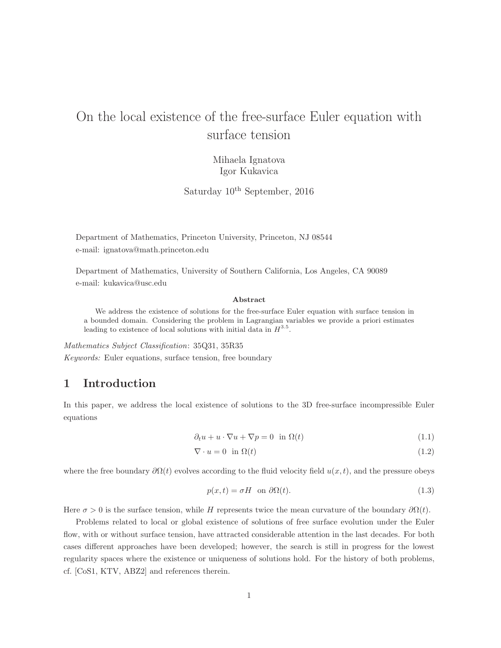# On the local existence of the free-surface Euler equation with surface tension

Mihaela Ignatova Igor Kukavica

Saturday  $10^{th}$  September, 2016

Department of Mathematics, Princeton University, Princeton, NJ 08544 e-mail: ignatova@math.princeton.edu

Department of Mathematics, University of Southern California, Los Angeles, CA 90089 e-mail: kukavica@usc.edu

#### Abstract

We address the existence of solutions for the free-surface Euler equation with surface tension in a bounded domain. Considering the problem in Lagrangian variables we provide a priori estimates leading to existence of local solutions with initial data in  $H^{3.5}$ .

Mathematics Subject Classification: 35Q31, 35R35 Keywords: Euler equations, surface tension, free boundary

### 1 Introduction

In this paper, we address the local existence of solutions to the 3D free-surface incompressible Euler equations

$$
\partial_t u + u \cdot \nabla u + \nabla p = 0 \quad \text{in } \Omega(t) \tag{1.1}
$$

$$
\nabla \cdot u = 0 \quad \text{in } \Omega(t) \tag{1.2}
$$

where the free boundary  $\partial \Omega(t)$  evolves according to the fluid velocity field  $u(x, t)$ , and the pressure obeys

$$
p(x,t) = \sigma H \quad \text{on } \partial\Omega(t). \tag{1.3}
$$

Here  $\sigma > 0$  is the surface tension, while H represents twice the mean curvature of the boundary  $\partial \Omega(t)$ .

Problems related to local or global existence of solutions of free surface evolution under the Euler flow, with or without surface tension, have attracted considerable attention in the last decades. For both cases different approaches have been developed; however, the search is still in progress for the lowest regularity spaces where the existence or uniqueness of solutions hold. For the history of both problems, cf. [CoS1, KTV, ABZ2] and references therein.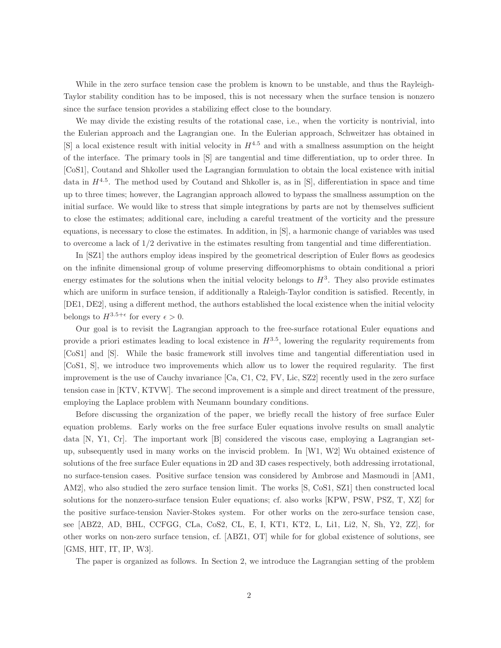While in the zero surface tension case the problem is known to be unstable, and thus the Rayleigh-Taylor stability condition has to be imposed, this is not necessary when the surface tension is nonzero since the surface tension provides a stabilizing effect close to the boundary.

We may divide the existing results of the rotational case, i.e., when the vorticity is nontrivial, into the Eulerian approach and the Lagrangian one. In the Eulerian approach, Schweitzer has obtained in [S] a local existence result with initial velocity in  $H^{4.5}$  and with a smallness assumption on the height of the interface. The primary tools in [S] are tangential and time differentiation, up to order three. In [CoS1], Coutand and Shkoller used the Lagrangian formulation to obtain the local existence with initial data in  $H^{4.5}$ . The method used by Coutand and Shkoller is, as in [S], differentiation in space and time up to three times; however, the Lagrangian approach allowed to bypass the smallness assumption on the initial surface. We would like to stress that simple integrations by parts are not by themselves sufficient to close the estimates; additional care, including a careful treatment of the vorticity and the pressure equations, is necessary to close the estimates. In addition, in [S], a harmonic change of variables was used to overcome a lack of 1/2 derivative in the estimates resulting from tangential and time differentiation.

In [SZ1] the authors employ ideas inspired by the geometrical description of Euler flows as geodesics on the infinite dimensional group of volume preserving diffeomorphisms to obtain conditional a priori energy estimates for the solutions when the initial velocity belongs to  $H^3$ . They also provide estimates which are uniform in surface tension, if additionally a Raleigh-Taylor condition is satisfied. Recently, in [DE1, DE2], using a different method, the authors established the local existence when the initial velocity belongs to  $H^{3.5+\epsilon}$  for every  $\epsilon > 0$ .

Our goal is to revisit the Lagrangian approach to the free-surface rotational Euler equations and provide a priori estimates leading to local existence in  $H^{3.5}$ , lowering the regularity requirements from [CoS1] and [S]. While the basic framework still involves time and tangential differentiation used in [CoS1, S], we introduce two improvements which allow us to lower the required regularity. The first improvement is the use of Cauchy invariance [Ca, C1, C2, FV, Lic, SZ2] recently used in the zero surface tension case in [KTV, KTVW]. The second improvement is a simple and direct treatment of the pressure, employing the Laplace problem with Neumann boundary conditions.

Before discussing the organization of the paper, we briefly recall the history of free surface Euler equation problems. Early works on the free surface Euler equations involve results on small analytic data [N, Y1, Cr]. The important work [B] considered the viscous case, employing a Lagrangian setup, subsequently used in many works on the inviscid problem. In [W1, W2] Wu obtained existence of solutions of the free surface Euler equations in 2D and 3D cases respectively, both addressing irrotational, no surface-tension cases. Positive surface tension was considered by Ambrose and Masmoudi in [AM1, AM2], who also studied the zero surface tension limit. The works [S, CoS1, SZ1] then constructed local solutions for the nonzero-surface tension Euler equations; cf. also works [KPW, PSW, PSZ, T, XZ] for the positive surface-tension Navier-Stokes system. For other works on the zero-surface tension case, see [ABZ2, AD, BHL, CCFGG, CLa, CoS2, CL, E, I, KT1, KT2, L, Li1, Li2, N, Sh, Y2, ZZ], for other works on non-zero surface tension, cf. [ABZ1, OT] while for for global existence of solutions, see [GMS, HIT, IT, IP, W3].

The paper is organized as follows. In Section 2, we introduce the Lagrangian setting of the problem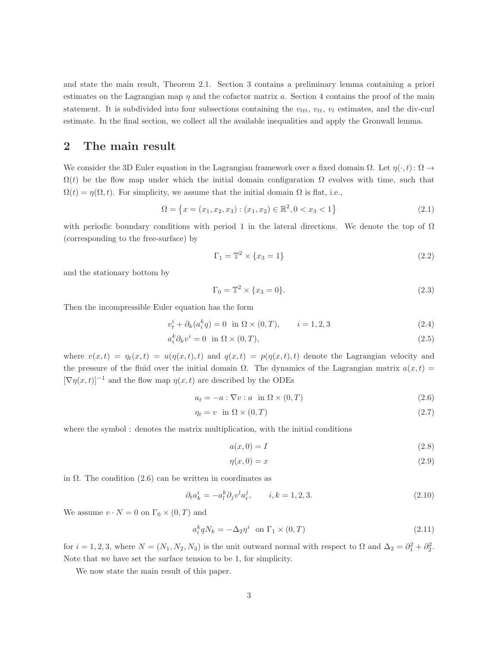and state the main result, Theorem 2.1. Section 3 contains a preliminary lemma containing a priori estimates on the Lagrangian map  $\eta$  and the cofactor matrix a. Section 4 contains the proof of the main statement. It is subdivided into four subsections containing the  $v_{tt}$ ,  $v_{tt}$ ,  $v_t$  estimates, and the div-curl estimate. In the final section, we collect all the available inequalities and apply the Gronwall lemma.

#### 2 The main result

We consider the 3D Euler equation in the Lagrangian framework over a fixed domain  $\Omega$ . Let  $\eta(\cdot,t): \Omega \to$  $\Omega(t)$  be the flow map under which the initial domain configuration  $\Omega$  evolves with time, such that  $\Omega(t) = \eta(\Omega, t)$ . For simplicity, we assume that the initial domain  $\Omega$  is flat, i.e.,

$$
\Omega = \left\{ x = (x_1, x_2, x_3) : (x_1, x_2) \in \mathbb{R}^2, 0 < x_3 < 1 \right\} \tag{2.1}
$$

with periodic boundary conditions with period 1 in the lateral directions. We denote the top of  $\Omega$ (corresponding to the free-surface) by

$$
\Gamma_1 = \mathbb{T}^2 \times \{x_3 = 1\} \tag{2.2}
$$

and the stationary bottom by

$$
\Gamma_0 = \mathbb{T}^2 \times \{x_3 = 0\}.\tag{2.3}
$$

Then the incompressible Euler equation has the form

$$
v_t^i + \partial_k(a_i^k q) = 0 \text{ in } \Omega \times (0, T), \qquad i = 1, 2, 3
$$
 (2.4)

$$
a_i^k \partial_k v^i = 0 \quad \text{in } \Omega \times (0, T), \tag{2.5}
$$

where  $v(x,t) = \eta_t(x,t) = u(\eta(x,t), t)$  and  $q(x,t) = p(\eta(x,t), t)$  denote the Lagrangian velocity and the pressure of the fluid over the initial domain  $\Omega$ . The dynamics of the Lagrangian matrix  $a(x,t)$  $[\nabla \eta(x,t)]^{-1}$  and the flow map  $\eta(x,t)$  are described by the ODEs

$$
a_t = -a : \nabla v : a \quad \text{in } \Omega \times (0, T) \tag{2.6}
$$

$$
\eta_t = v \quad \text{in} \ \Omega \times (0, T) \tag{2.7}
$$

where the symbol : denotes the matrix multiplication, with the initial conditions

$$
a(x,0) = I \tag{2.8}
$$

$$
\eta(x,0) = x \tag{2.9}
$$

in  $\Omega$ . The condition (2.6) can be written in coordinates as

$$
\partial_t a_k^i = -a_l^k \partial_j v^l a_i^j, \qquad i, k = 1, 2, 3. \tag{2.10}
$$

We assume  $v \cdot N = 0$  on  $\Gamma_0 \times (0, T)$  and

$$
a_i^k q N_k = -\Delta_2 \eta^i \quad \text{on } \Gamma_1 \times (0, T) \tag{2.11}
$$

for  $i = 1, 2, 3$ , where  $N = (N_1, N_2, N_3)$  is the unit outward normal with respect to  $\Omega$  and  $\Delta_2 = \partial_1^2 + \partial_2^2$ . Note that we have set the surface tension to be 1, for simplicity.

We now state the main result of this paper.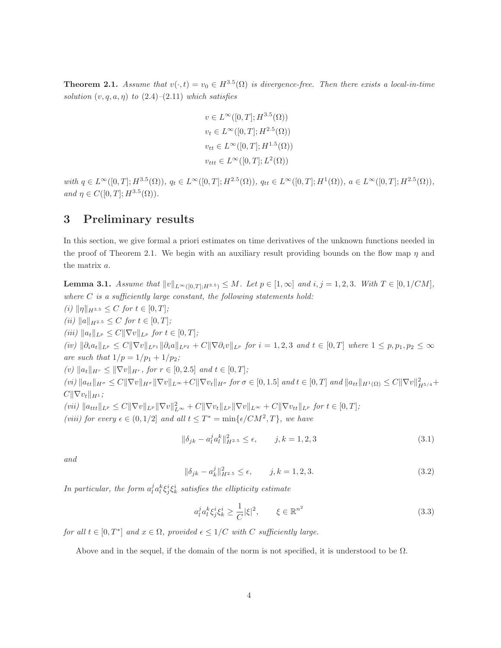**Theorem 2.1.** Assume that  $v(\cdot, t) = v_0 \in H^{3.5}(\Omega)$  is divergence-free. Then there exists a local-in-time solution  $(v, q, a, \eta)$  to  $(2.4)$ – $(2.11)$  which satisfies

$$
v \in L^{\infty}([0, T]; H^{3.5}(\Omega))
$$
  
\n
$$
v_t \in L^{\infty}([0, T]; H^{2.5}(\Omega))
$$
  
\n
$$
v_{tt} \in L^{\infty}([0, T]; H^{1.5}(\Omega))
$$
  
\n
$$
v_{ttt} \in L^{\infty}([0, T]; L^2(\Omega))
$$

with  $q \in L^{\infty}([0,T]; H^{3.5}(\Omega))$ ,  $q_t \in L^{\infty}([0,T]; H^{2.5}(\Omega))$ ,  $q_{tt} \in L^{\infty}([0,T]; H^1(\Omega))$ ,  $a \in L^{\infty}([0,T]; H^{2.5}(\Omega))$ , and  $\eta \in C([0, T]; H^{3.5}(\Omega)).$ 

### 3 Preliminary results

In this section, we give formal a priori estimates on time derivatives of the unknown functions needed in the proof of Theorem 2.1. We begin with an auxiliary result providing bounds on the flow map  $\eta$  and the matrix a.

**Lemma 3.1.** Assume that  $||v||_{L^{\infty}([0,T];H^{3.5})} \leq M$ . Let  $p \in [1,\infty]$  and  $i, j = 1, 2, 3$ . With  $T \in [0, 1/CM]$ , where  $C$  is a sufficiently large constant, the following statements hold:

(i)  $\|\eta\|_{H^{3.5}} \leq C$  for  $t \in [0, T]$ ; (ii)  $||a||_{H^{2.5}} \leq C$  for  $t \in [0, T]$ ; (iii)  $||a_t||_{L^p} \leq C||\nabla v||_{L^p}$  for  $t \in [0, T]$ ;  $(iv)$   $||\partial_i a_t||_{L^p} \leq C||\nabla v||_{L^{p_1}}||\partial_i a||_{L^{p_2}} + C||\nabla \partial_i v||_{L^p}$  for  $i = 1, 2, 3$  and  $t \in [0, T]$  where  $1 \leq p, p_1, p_2 \leq \infty$ are such that  $1/p = 1/p_1 + 1/p_2$ ; (v)  $\|a_t\|_{H^r} \leq \|\nabla v\|_{H^r}$ , for  $r \in [0, 2.5]$  and  $t \in [0, T]$ ;  $(vi) \|a_{tt}\|_{H^{\sigma}} \leq C \|\nabla v\|_{H^{\sigma}} \|\nabla v\|_{L^{\infty}} + C \|\nabla v_t\|_{H^{\sigma}}$  for  $\sigma \in [0, 1.5]$  and  $t \in [0, T]$  and  $\|a_{tt}\|_{H^1(\Omega)} \leq C \|\nabla v\|_{H^{5/4}}^2 + C \|v\|_{H^{3/4}}^2$  $C\|\nabla v_t\|_{H^1}$ ;  $(vii) \|a_{ttt}\|_{L^p} \leq C \|\nabla v\|_{L^p} \|\nabla v\|_{L^\infty} + C \|\nabla v_t\|_{L^p} \|\nabla v\|_{L^\infty} + C \|\nabla v_{tt}\|_{L^p}$  for  $t \in [0, T]$ ; (viii) for every  $\epsilon \in (0, 1/2]$  and all  $t \leq T^* = \min{\{\epsilon/CM^2, T\}}$ , we have

$$
\|\delta_{jk} - a_l^j a_l^k\|_{H^{2.5}}^2 \le \epsilon, \qquad j, k = 1, 2, 3 \tag{3.1}
$$

and

$$
\|\delta_{jk} - a_k^j\|_{H^{2.5}}^2 \le \epsilon, \qquad j, k = 1, 2, 3. \tag{3.2}
$$

In particular, the form  $a_l^j a_l^k \xi_j^i \xi_k^i$  satisfies the ellipticity estimate

$$
a_l^j a_l^k \xi_j^i \xi_k^i \ge \frac{1}{C} |\xi|^2, \qquad \xi \in \mathbb{R}^{n^2}
$$
\n(3.3)

for all  $t \in [0, T^*]$  and  $x \in \Omega$ , provided  $\epsilon \leq 1/C$  with C sufficiently large.

Above and in the sequel, if the domain of the norm is not specified, it is understood to be  $\Omega$ .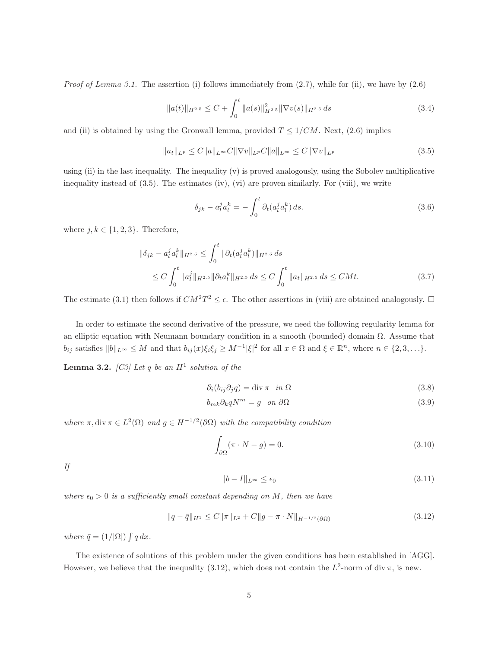*Proof of Lemma 3.1.* The assertion (i) follows immediately from  $(2.7)$ , while for (ii), we have by  $(2.6)$ 

$$
||a(t)||_{H^{2.5}} \leq C + \int_0^t ||a(s)||_{H^{2.5}}^2 ||\nabla v(s)||_{H^{2.5}} ds \tag{3.4}
$$

and (ii) is obtained by using the Gronwall lemma, provided  $T \leq 1/CM$ . Next, (2.6) implies

$$
||a_t||_{L^p} \le C||a||_{L^{\infty}} C||\nabla v||_{L^p} C||a||_{L^{\infty}} \le C||\nabla v||_{L^p}
$$
\n(3.5)

using (ii) in the last inequality. The inequality (v) is proved analogously, using the Sobolev multiplicative inequality instead of  $(3.5)$ . The estimates (iv), (vi) are proven similarly. For (viii), we write

$$
\delta_{jk} - a_l^j a_l^k = -\int_0^t \partial_t (a_l^j a_l^k) ds. \tag{3.6}
$$

where  $j, k \in \{1, 2, 3\}$ . Therefore,

$$
\|\delta_{jk} - a_l^j a_l^k\|_{H^{2.5}} \le \int_0^t \|\partial_t (a_l^j a_l^k)\|_{H^{2.5}} ds
$$
  
\n
$$
\le C \int_0^t \|a_l^j\|_{H^{2.5}} \|\partial_t a_l^k\|_{H^{2.5}} ds \le C \int_0^t \|a_t\|_{H^{2.5}} ds \le C M t.
$$
\n(3.7)

The estimate (3.1) then follows if  $CM^2T^2 \leq \epsilon$ . The other assertions in (viii) are obtained analogously.  $\Box$ 

In order to estimate the second derivative of the pressure, we need the following regularity lemma for an elliptic equation with Neumann boundary condition in a smooth (bounded) domain  $\Omega$ . Assume that  $b_{ij}$  satisfies  $||b||_{L^{\infty}} \leq M$  and that  $b_{ij}(x)\xi_i\xi_j \geq M^{-1}|\xi|^2$  for all  $x \in \Omega$  and  $\xi \in \mathbb{R}^n$ , where  $n \in \{2, 3, \ldots\}$ .

**Lemma 3.2.** [C3] Let q be an  $H^1$  solution of the

$$
\partial_i(b_{ij}\partial_j q) = \text{div}\,\pi \quad in \ \Omega \tag{3.8}
$$

$$
b_{mk}\partial_k q N^m = g \quad on \ \partial\Omega \tag{3.9}
$$

where  $\pi$ , div  $\pi \in L^2(\Omega)$  and  $g \in H^{-1/2}(\partial \Omega)$  with the compatibility condition

$$
\int_{\partial\Omega} (\pi \cdot N - g) = 0. \tag{3.10}
$$

If

$$
||b - I||_{L^{\infty}} \le \epsilon_0 \tag{3.11}
$$

where  $\epsilon_0 > 0$  is a sufficiently small constant depending on M, then we have

$$
||q - \bar{q}||_{H^1} \le C ||\pi||_{L^2} + C ||g - \pi \cdot N||_{H^{-1/2}(\partial \Omega)} \tag{3.12}
$$

where  $\bar{q} = (1/|\Omega|) \int q dx$ .

The existence of solutions of this problem under the given conditions has been established in [AGG]. However, we believe that the inequality (3.12), which does not contain the  $L^2$ -norm of div  $\pi$ , is new.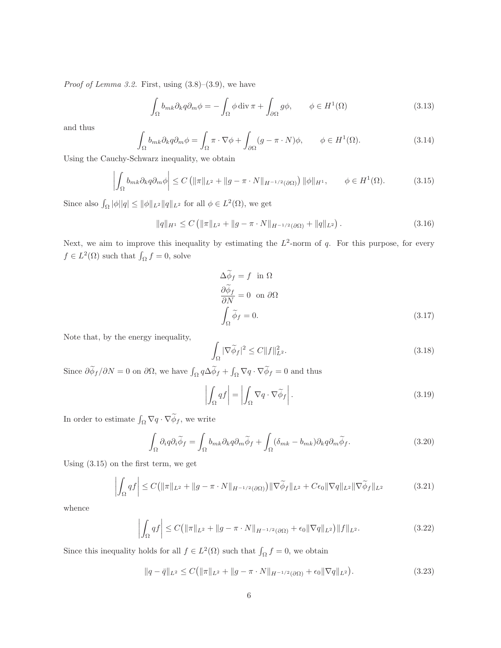*Proof of Lemma 3.2.* First, using  $(3.8)$ – $(3.9)$ , we have

$$
\int_{\Omega} b_{mk} \partial_k q \partial_m \phi = -\int_{\Omega} \phi \operatorname{div} \pi + \int_{\partial \Omega} g \phi, \qquad \phi \in H^1(\Omega)
$$
\n(3.13)

and thus

$$
\int_{\Omega} b_{mk} \partial_k q \partial_m \phi = \int_{\Omega} \pi \cdot \nabla \phi + \int_{\partial \Omega} (g - \pi \cdot N) \phi, \qquad \phi \in H^1(\Omega). \tag{3.14}
$$

Using the Cauchy-Schwarz inequality, we obtain

$$
\left| \int_{\Omega} b_{mk} \partial_k q \partial_m \phi \right| \le C \left( \| \pi \|_{L^2} + \| g - \pi \cdot N \|_{H^{-1/2}(\partial \Omega)} \right) \| \phi \|_{H^1}, \qquad \phi \in H^1(\Omega). \tag{3.15}
$$

Since also  $\int_{\Omega} |\phi||q| \leq ||\phi||_{L^2} ||q||_{L^2}$  for all  $\phi \in L^2(\Omega)$ , we get

$$
||q||_{H^1} \le C \left( ||\pi||_{L^2} + ||g - \pi \cdot N||_{H^{-1/2}(\partial \Omega)} + ||q||_{L^2} \right). \tag{3.16}
$$

Next, we aim to improve this inequality by estimating the  $L^2$ -norm of q. For this purpose, for every  $f \in L^2(\Omega)$  such that  $\int_{\Omega} f = 0$ , solve

$$
\Delta \phi_f = f \text{ in } \Omega
$$
  
\n
$$
\frac{\partial \widetilde{\phi}_f}{\partial N} = 0 \text{ on } \partial \Omega
$$
  
\n
$$
\int_{\Omega} \widetilde{\phi}_f = 0.
$$
\n(3.17)

Note that, by the energy inequality,

$$
\int_{\Omega} |\nabla \widetilde{\phi}_f|^2 \le C \|f\|_{L^2}^2.
$$
\n(3.18)

Since  $\partial \widetilde{\phi}_f / \partial N = 0$  on  $\partial \Omega$ , we have  $\int_{\Omega} q \Delta \widetilde{\phi}_f + \int_{\Omega} \nabla q \cdot \nabla \widetilde{\phi}_f = 0$  and thus

$$
\left| \int_{\Omega} q f \right| = \left| \int_{\Omega} \nabla q \cdot \nabla \widetilde{\phi}_f \right|.
$$
\n(3.19)

In order to estimate  $\int_{\Omega} \nabla q \cdot \nabla \widetilde{\phi}_f$ , we write

$$
\int_{\Omega} \partial_i q \partial_i \widetilde{\phi}_f = \int_{\Omega} b_{mk} \partial_k q \partial_m \widetilde{\phi}_f + \int_{\Omega} (\delta_{mk} - b_{mk}) \partial_k q \partial_m \widetilde{\phi}_f. \tag{3.20}
$$

Using (3.15) on the first term, we get

$$
\left| \int_{\Omega} q f \right| \leq C \left( \| \pi \|_{L^2} + \| g - \pi \cdot N \|_{H^{-1/2}(\partial \Omega)} \right) \| \nabla \widetilde{\phi}_f \|_{L^2} + C \epsilon_0 \| \nabla q \|_{L^2} \| \nabla \widetilde{\phi}_f \|_{L^2}
$$
(3.21)

whence

$$
\left| \int_{\Omega} q f \right| \le C \left( \| \pi \|_{L^2} + \| g - \pi \cdot N \|_{H^{-1/2}(\partial \Omega)} + \epsilon_0 \| \nabla q \|_{L^2} \right) \| f \|_{L^2}.
$$
\n(3.22)

Since this inequality holds for all  $f \in L^2(\Omega)$  such that  $\int_{\Omega} f = 0$ , we obtain

$$
||q - \bar{q}||_{L^2} \le C(||\pi||_{L^2} + ||g - \pi \cdot N||_{H^{-1/2}(\partial \Omega)} + \epsilon_0 ||\nabla q||_{L^2}).
$$
\n(3.23)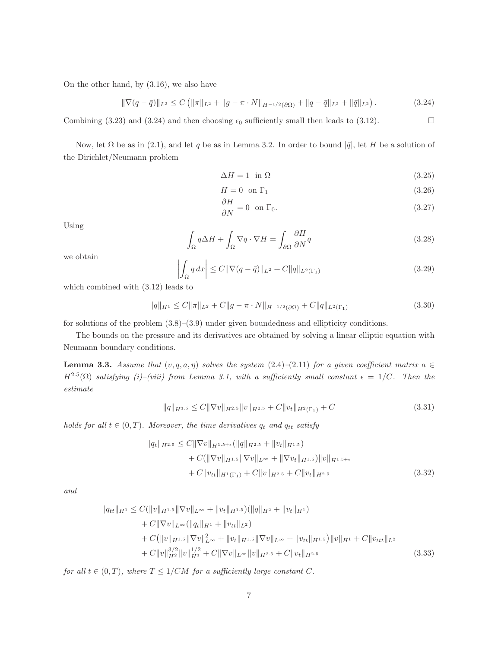On the other hand, by (3.16), we also have

$$
\|\nabla (q-\bar{q})\|_{L^2} \le C \left( \|\pi\|_{L^2} + \|g-\pi \cdot N\|_{H^{-1/2}(\partial \Omega)} + \|q-\bar{q}\|_{L^2} + \|\bar{q}\|_{L^2} \right). \tag{3.24}
$$

Combining (3.23) and (3.24) and then choosing  $\epsilon_0$  sufficiently small then leads to (3.12).

Now, let Ω be as in (2.1), and let q be as in Lemma 3.2. In order to bound  $|\bar{q}|$ , let H be a solution of the Dirichlet/Neumann problem

$$
\Delta H = 1 \text{ in } \Omega \tag{3.25}
$$

$$
H = 0 \quad \text{on } \Gamma_1 \tag{3.26}
$$

$$
\frac{\partial H}{\partial N} = 0 \quad \text{on } \Gamma_0. \tag{3.27}
$$

Using

$$
\int_{\Omega} q \Delta H + \int_{\Omega} \nabla q \cdot \nabla H = \int_{\partial \Omega} \frac{\partial H}{\partial N} q \tag{3.28}
$$

we obtain

$$
\left| \int_{\Omega} q \, dx \right| \le C \|\nabla (q - \bar{q})\|_{L^2} + C \|q\|_{L^2(\Gamma_1)} \tag{3.29}
$$

which combined with (3.12) leads to

$$
||q||_{H^1} \le C||\pi||_{L^2} + C||g - \pi \cdot N||_{H^{-1/2}(\partial \Omega)} + C||q||_{L^2(\Gamma_1)}
$$
\n(3.30)

for solutions of the problem  $(3.8)$ – $(3.9)$  under given boundedness and ellipticity conditions.

The bounds on the pressure and its derivatives are obtained by solving a linear elliptic equation with Neumann boundary conditions.

**Lemma 3.3.** Assume that  $(v, q, a, \eta)$  solves the system (2.4)–(2.11) for a given coefficient matrix  $a \in \mathbb{R}$  $H^{2.5}(\Omega)$  satisfying (i)–(viii) from Lemma 3.1, with a sufficiently small constant  $\epsilon = 1/C$ . Then the estimate

$$
||q||_{H^{3.5}} \leq C||\nabla v||_{H^{2.5}}||v||_{H^{2.5}} + C||v_t||_{H^2(\Gamma_1)} + C
$$
\n(3.31)

holds for all  $t \in (0, T)$ . Moreover, the time derivatives  $q_t$  and  $q_{tt}$  satisfy

$$
||q_t||_{H^{2.5}} \leq C||\nabla v||_{H^{1.5+\epsilon}}(||q||_{H^{2.5}} + ||v_t||_{H^{1.5}}) + C(||\nabla v||_{H^{1.5}}||\nabla v||_{L^{\infty}} + ||\nabla v_t||_{H^{1.5}})||v||_{H^{1.5+\epsilon}} + C||v_{tt}||_{H^{1}(\Gamma_1)} + C||v||_{H^{2.5}} + C||v_t||_{H^{2.5}}
$$
\n(3.32)

and

$$
||q_{tt}||_{H^1} \leq C(||v||_{H^{1.5}}||\nabla v||_{L^{\infty}} + ||v_t||_{H^{1.5}})(||q||_{H^2} + ||v_t||_{H^1})
$$
  
+  $C||\nabla v||_{L^{\infty}}(||q_t||_{H^1} + ||v_{tt}||_{L^2})$   
+  $C(||v||_{H^{1.5}}||\nabla v||_{L^{\infty}}^2 + ||v_t||_{H^{1.5}}||\nabla v||_{L^{\infty}} + ||v_{tt}||_{H^{1.5}})||v||_{H^1} + C||v_{ttt}||_{L^2}$   
+  $C||v||_{H^2}^{3/2}||v||_{H^3}^{1/2} + C||\nabla v||_{L^{\infty}}||v||_{H^2}^{3.5} + C||v_t||_{H^{2.5}}$  (3.33)

for all  $t \in (0, T)$ , where  $T \leq 1/CM$  for a sufficiently large constant C.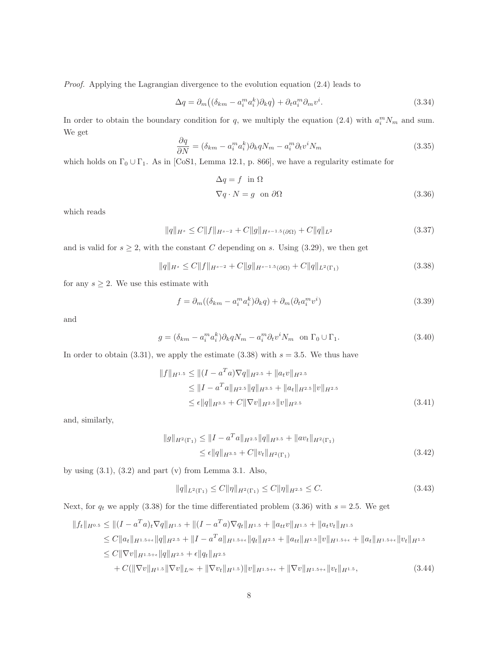Proof. Applying the Lagrangian divergence to the evolution equation (2.4) leads to

$$
\Delta q = \partial_m \left( (\delta_{km} - a_i^m a_i^k) \partial_k q \right) + \partial_t a_i^m \partial_m v^i. \tag{3.34}
$$

In order to obtain the boundary condition for q, we multiply the equation (2.4) with  $a_i^m N_m$  and sum. We get

$$
\frac{\partial q}{\partial N} = (\delta_{km} - a_i^m a_i^k) \partial_k q N_m - a_i^m \partial_t v^i N_m \tag{3.35}
$$

which holds on  $\Gamma_0 \cup \Gamma_1$ . As in [CoS1, Lemma 12.1, p. 866], we have a regularity estimate for

$$
\Delta q = f \text{ in } \Omega
$$
  

$$
\nabla q \cdot N = g \text{ on } \partial \Omega
$$
 (3.36)

which reads

$$
||q||_{H^s} \le C||f||_{H^{s-2}} + C||g||_{H^{s-1.5}(\partial \Omega)} + C||q||_{L^2}
$$
\n(3.37)

and is valid for  $s \geq 2$ , with the constant C depending on s. Using (3.29), we then get

$$
||q||_{H^s} \le C||f||_{H^{s-2}} + C||g||_{H^{s-1.5}(\partial \Omega)} + C||q||_{L^2(\Gamma_1)}
$$
\n(3.38)

for any  $s \geq 2$ . We use this estimate with

$$
f = \partial_m ((\delta_{km} - a_i^m a_i^k) \partial_k q) + \partial_m (\partial_t a_i^m v^i)
$$
\n(3.39)

and

$$
g = (\delta_{km} - a_i^m a_i^k) \partial_k q N_m - a_i^m \partial_t v^i N_m \text{ on } \Gamma_0 \cup \Gamma_1.
$$
 (3.40)

In order to obtain  $(3.31)$ , we apply the estimate  $(3.38)$  with  $s = 3.5$ . We thus have

$$
||f||_{H^{1.5}} \le ||(I - a^T a)\nabla q||_{H^{2.5}} + ||a_t v||_{H^{2.5}}
$$
  
\n
$$
\le ||I - a^T a||_{H^{2.5}} ||q||_{H^{3.5}} + ||a_t||_{H^{2.5}} ||v||_{H^{2.5}}
$$
  
\n
$$
\le \epsilon ||q||_{H^{3.5}} + C ||\nabla v||_{H^{2.5}} ||v||_{H^{2.5}}
$$
\n(3.41)

and, similarly,

$$
||g||_{H^{2}(\Gamma_{1})} \leq ||I - a^{T}a||_{H^{2.5}} ||q||_{H^{3.5}} + ||av_{t}||_{H^{2}(\Gamma_{1})}
$$
  
\n
$$
\leq \epsilon ||q||_{H^{3.5}} + C ||v_{t}||_{H^{2}(\Gamma_{1})}
$$
\n(3.42)

by using  $(3.1)$ ,  $(3.2)$  and part  $(v)$  from Lemma 3.1. Also,

$$
||q||_{L^{2}(\Gamma_{1})} \leq C||\eta||_{H^{2}(\Gamma_{1})} \leq C||\eta||_{H^{2.5}} \leq C.
$$
\n(3.43)

Next, for  $q_t$  we apply (3.38) for the time differentiated problem (3.36) with  $s = 2.5$ . We get

$$
||f_t||_{H^{0.5}} \le ||(I - a^T a)_t \nabla q||_{H^{1.5}} + ||(I - a^T a) \nabla q_t||_{H^{1.5}} + ||a_{tt}v||_{H^{1.5}} + ||a_t v_t||_{H^{1.5}}
$$
  
\n
$$
\le C||a_t||_{H^{1.5+\epsilon}}||q||_{H^{2.5}} + ||I - a^T a||_{H^{1.5+\epsilon}}||q_t||_{H^{2.5}} + ||a_{tt}||_{H^{1.5}}||v||_{H^{1.5+\epsilon}} + ||a_t||_{H^{1.5+\epsilon}}||v_t||_{H^{1.5}}
$$
  
\n
$$
\le C||\nabla v||_{H^{1.5+\epsilon}}||q||_{H^{2.5}} + \epsilon||q_t||_{H^{2.5}}
$$
  
\n
$$
+ C(||\nabla v||_{H^{1.5}}||\nabla v||_{L^{\infty}} + ||\nabla v_t||_{H^{1.5}})||v||_{H^{1.5+\epsilon}} + ||\nabla v||_{H^{1.5+\epsilon}}||v_t||_{H^{1.5}}, \tag{3.44}
$$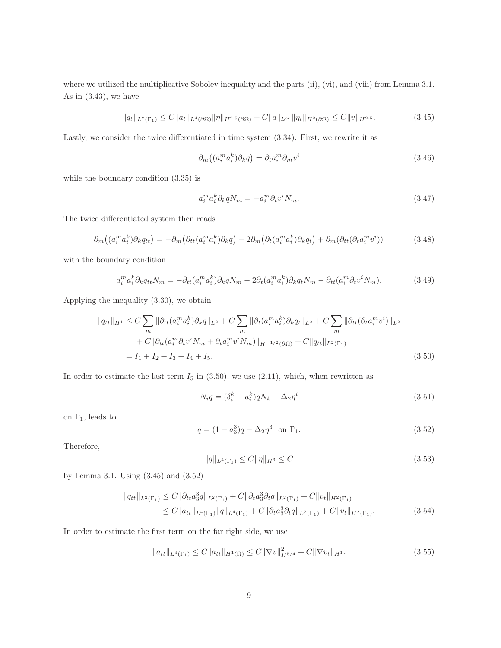where we utilized the multiplicative Sobolev inequality and the parts (ii), (vi), and (viii) from Lemma 3.1. As in (3.43), we have

$$
||q_t||_{L^2(\Gamma_1)} \le C||a_t||_{L^4(\partial\Omega)}||\eta||_{H^{2.5}(\partial\Omega)} + C||a||_{L^\infty}||\eta_t||_{H^2(\partial\Omega)} \le C||v||_{H^{2.5}}.\tag{3.45}
$$

Lastly, we consider the twice differentiated in time system (3.34). First, we rewrite it as

$$
\partial_m\left((a_i^m a_i^k)\partial_k q\right) = \partial_t a_i^m \partial_m v^i \tag{3.46}
$$

while the boundary condition (3.35) is

$$
a_i^m a_i^k \partial_k q N_m = -a_i^m \partial_t v^i N_m. \tag{3.47}
$$

The twice differentiated system then reads

$$
\partial_m((a_i^m a_i^k)\partial_k q_{tt}) = -\partial_m(\partial_{tt}(a_i^m a_i^k)\partial_k q) - 2\partial_m(\partial_t(a_i^m a_i^k)\partial_k q_t) + \partial_m(\partial_{tt}(\partial_t a_i^m v^i))
$$
(3.48)

with the boundary condition

$$
a_i^m a_i^k \partial_k q_{tt} N_m = -\partial_{tt} (a_i^m a_i^k) \partial_k q N_m - 2\partial_t (a_i^m a_i^k) \partial_k q_t N_m - \partial_{tt} (a_i^m \partial_t v^i N_m). \tag{3.49}
$$

Applying the inequality (3.30), we obtain

$$
||q_{tt}||_{H^1} \leq C \sum_{m} ||\partial_{tt}(a_i^m a_i^k) \partial_k q||_{L^2} + C \sum_{m} ||\partial_t(a_i^m a_i^k) \partial_k q_t||_{L^2} + C \sum_{m} ||\partial_{tt}(\partial_t a_i^m v^i)||_{L^2} + C||\partial_{tt}(a_i^m \partial_t v^i N_m + \partial_t a_i^m v^i N_m)||_{H^{-1/2}(\partial \Omega)} + C||q_{tt}||_{L^2(\Gamma_1)} = I_1 + I_2 + I_3 + I_4 + I_5.
$$
 (3.50)

In order to estimate the last term  $I_5$  in  $(3.50)$ , we use  $(2.11)$ , which, when rewritten as

$$
N_i q = (\delta_i^k - a_i^k) q N_k - \Delta_2 \eta^i \tag{3.51}
$$

on  $\Gamma_1$ , leads to

$$
q = (1 - a_3^3)q - \Delta_2 \eta^3 \text{ on } \Gamma_1. \tag{3.52}
$$

Therefore,

$$
||q||_{L^{4}(\Gamma_{1})} \leq C||\eta||_{H^{3}} \leq C
$$
\n(3.53)

by Lemma 3.1. Using (3.45) and (3.52)

$$
\|q_{tt}\|_{L^2(\Gamma_1)} \le C \|\partial_{tt}a_3^3 q\|_{L^2(\Gamma_1)} + C \|\partial_t a_3^3 \partial_t q\|_{L^2(\Gamma_1)} + C \|v_t\|_{H^2(\Gamma_1)}\le C \|a_{tt}\|_{L^4(\Gamma_1)} \|q\|_{L^4(\Gamma_1)} + C \|\partial_t a_3^3 \partial_t q\|_{L^2(\Gamma_1)} + C \|v_t\|_{H^2(\Gamma_1)}.
$$
\n(3.54)

In order to estimate the first term on the far right side, we use

$$
||a_{tt}||_{L^{4}(\Gamma_1)} \leq C||a_{tt}||_{H^{1}(\Omega)} \leq C||\nabla v||_{H^{5/4}}^{2} + C||\nabla v_{t}||_{H^{1}}.
$$
\n(3.55)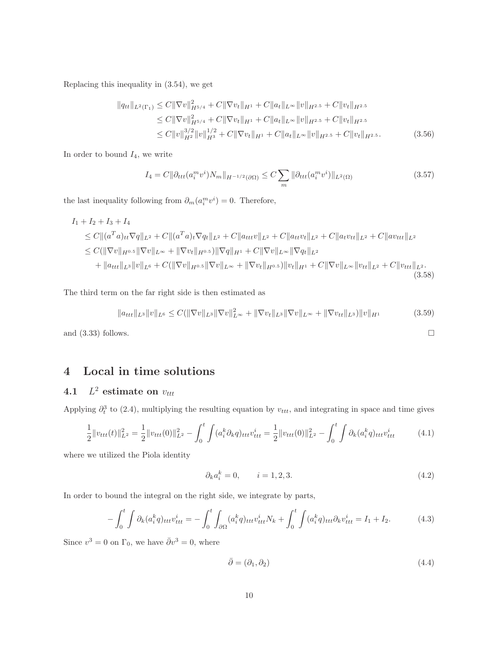Replacing this inequality in (3.54), we get

$$
||q_{tt}||_{L^{2}(\Gamma_{1})} \leq C||\nabla v||_{H^{5/4}}^{2} + C||\nabla v_{t}||_{H^{1}} + C||a_{t}||_{L^{\infty}}||v||_{H^{2.5}} + C||v_{t}||_{H^{2.5}}\leq C||\nabla v||_{H^{5/4}}^{2} + C||\nabla v_{t}||_{H^{1}} + C||a_{t}||_{L^{\infty}}||v||_{H^{2.5}} + C||v_{t}||_{H^{2.5}}\leq C||v||_{H^{2}}^{3/2}||v||_{H^{3}}^{1/2} + C||\nabla v_{t}||_{H^{1}} + C||a_{t}||_{L^{\infty}}||v||_{H^{2.5}} + C||v_{t}||_{H^{2.5}}.
$$
\n(3.56)

In order to bound  $I_4$ , we write

$$
I_4 = C \|\partial_{ttt}(a_i^m v^i) N_m\|_{H^{-1/2}(\partial \Omega)} \le C \sum_m \|\partial_{ttt}(a_i^m v^i)\|_{L^2(\Omega)} \tag{3.57}
$$

the last inequality following from  $\partial_m(a_i^m v^i) = 0$ . Therefore,

$$
I_{1} + I_{2} + I_{3} + I_{4}
$$
\n
$$
\leq C \|(a^{T}a)_{tt}\nabla q\|_{L^{2}} + C \|(a^{T}a)_{t}\nabla q_{t}\|_{L^{2}} + C \|a_{ttt}v\|_{L^{2}} + C \|a_{tt}v_{t}\|_{L^{2}} + C \|a_{t}v_{tt}\|_{L^{2}} + C \|a_{t}v_{tt}\|_{L^{2}}
$$
\n
$$
\leq C (\|\nabla v\|_{H^{0.5}} \|\nabla v\|_{L^{\infty}} + \|\nabla v_{t}\|_{H^{0.5}}) \|\nabla q\|_{H^{1}} + C \|\nabla v\|_{L^{\infty}} \|\nabla q_{t}\|_{L^{2}}
$$
\n
$$
+ \|a_{ttt}\|_{L^{3}} \|v\|_{L^{6}} + C (\|\nabla v\|_{H^{0.5}} \|\nabla v\|_{L^{\infty}} + \|\nabla v_{t}\|_{H^{0.5}}) \|v_{t}\|_{H^{1}} + C \|\nabla v\|_{L^{\infty}} \|v_{ttt}\|_{L^{2}} + C \|v_{ttt}\|_{L^{2}}.
$$
\n(3.58)

The third term on the far right side is then estimated as

$$
||a_{ttt}||_{L^{3}}||v||_{L^{6}} \leq C(||\nabla v||_{L^{3}}||\nabla v||_{L^{\infty}}^{2} + ||\nabla v_{t}||_{L^{3}}||\nabla v||_{L^{\infty}} + ||\nabla v_{tt}||_{L^{3}})||v||_{H^{1}}
$$
(3.59)

and  $(3.33)$  follows.

## 4 Local in time solutions

#### $4.1$  $L^2$  estimate on  $v_{ttt}$

Applying  $\partial_t^3$  to (2.4), multiplying the resulting equation by  $v_{ttt}$ , and integrating in space and time gives

$$
\frac{1}{2}||v_{ttt}(t)||_{L^2}^2 = \frac{1}{2}||v_{ttt}(0)||_{L^2}^2 - \int_0^t \int (a_i^k \partial_k q)_{ttt} v_{ttt}^i = \frac{1}{2}||v_{ttt}(0)||_{L^2}^2 - \int_0^t \int \partial_k (a_i^k q)_{ttt} v_{ttt}^i \tag{4.1}
$$

where we utilized the Piola identity

$$
\partial_k a_i^k = 0, \qquad i = 1, 2, 3. \tag{4.2}
$$

In order to bound the integral on the right side, we integrate by parts,

$$
-\int_{0}^{t} \int \partial_{k}(a_{i}^{k}q)_{ttt} v_{ttt}^{i} = -\int_{0}^{t} \int_{\partial \Omega} (a_{i}^{k}q)_{ttt} v_{ttt}^{i} N_{k} + \int_{0}^{t} \int (a_{i}^{k}q)_{ttt} \partial_{k} v_{ttt}^{i} = I_{1} + I_{2}.
$$
 (4.3)

Since  $v^3 = 0$  on  $\Gamma_0$ , we have  $\bar{\partial}v^3 = 0$ , where

$$
\bar{\partial} = (\partial_1, \partial_2) \tag{4.4}
$$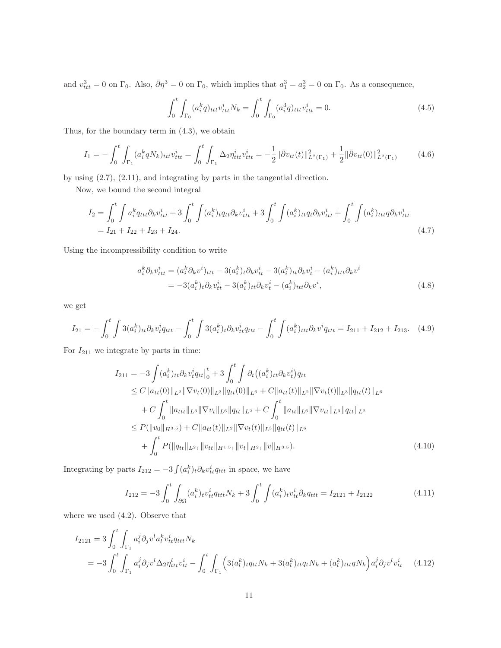and  $v_{ttt}^3 = 0$  on  $\Gamma_0$ . Also,  $\bar{\partial} \eta^3 = 0$  on  $\Gamma_0$ , which implies that  $a_1^3 = a_2^3 = 0$  on  $\Gamma_0$ . As a consequence,

$$
\int_0^t \int_{\Gamma_0} (a_i^k q)_{ttt} v_{ttt}^i N_k = \int_0^t \int_{\Gamma_0} (a_i^3 q)_{ttt} v_{ttt}^i = 0.
$$
\n(4.5)

Thus, for the boundary term in (4.3), we obtain

$$
I_1 = -\int_0^t \int_{\Gamma_1} (a_i^k q N_k)_{ttt} v_{ttt}^i = \int_0^t \int_{\Gamma_1} \Delta_2 \eta_{ttt}^i v_{ttt}^i = -\frac{1}{2} \|\bar{\partial} v_{tt}(t)\|_{L^2(\Gamma_1)}^2 + \frac{1}{2} \|\bar{\partial} v_{tt}(0)\|_{L^2(\Gamma_1)}^2 \tag{4.6}
$$

by using (2.7), (2.11), and integrating by parts in the tangential direction.

Now, we bound the second integral

$$
I_2 = \int_0^t \int a_i^k q_{ttt} \partial_k v_{ttt}^i + 3 \int_0^t \int (a_i^k)_t q_{tt} \partial_k v_{ttt}^i + 3 \int_0^t \int (a_i^k)_{tt} q_t \partial_k v_{ttt}^i + \int_0^t \int (a_i^k)_{ttt} q \partial_k v_{ttt}^i
$$
  
=  $I_{21} + I_{22} + I_{23} + I_{24}$ . (4.7)

Using the incompressibility condition to write

$$
a_i^k \partial_k v_{ttt}^i = (a_i^k \partial_k v^i)_{ttt} - 3(a_i^k)_t \partial_k v_{tt}^i - 3(a_i^k)_t \partial_k v_t^i - (a_i^k)_{ttt} \partial_k v^i
$$
  
= 
$$
-3(a_i^k)_t \partial_k v_{tt}^i - 3(a_i^k)_{tt} \partial_k v_t^i - (a_i^k)_{ttt} \partial_k v^i,
$$
 (4.8)

we get

$$
I_{21} = -\int_0^t \int 3(a_i^k)_{tt} \partial_k v_t^i q_{ttt} - \int_0^t \int 3(a_i^k)_{t} \partial_k v_{tt}^i q_{ttt} - \int_0^t \int (a_i^k)_{ttt} \partial_k v^i q_{ttt} = I_{211} + I_{212} + I_{213}. \tag{4.9}
$$

For  ${\cal I}_{211}$  we integrate by parts in time:

$$
I_{211} = -3 \int (a_i^k)_{tt} \partial_k v_t^i q_{tt} \Big|_0^t + 3 \int_0^t \int \partial_t \big( (a_i^k)_{tt} \partial_k v_t^i \big) q_{tt} \n\leq C \|a_{tt}(0)\|_{L^2} \|\nabla v_t(0)\|_{L^3} \|q_{tt}(0)\|_{L^6} + C \|a_{tt}(t)\|_{L^2} \|\nabla v_t(t)\|_{L^3} \|q_{tt}(t)\|_{L^6} \n+ C \int_0^t \|a_{ttt}\|_{L^3} \|\nabla v_t\|_{L^6} \|q_{tt}\|_{L^2} + C \int_0^t \|a_{tt}\|_{L^6} \|\nabla v_{tt}\|_{L^3} \|q_{tt}\|_{L^2} \n\leq P(\|v_0\|_{H^{3.5}}) + C \|a_{tt}(t)\|_{L^2} \|\nabla v_t(t)\|_{L^3} \|q_{tt}(t)\|_{L^6} \n+ \int_0^t P(\|q_{tt}\|_{L^2}, \|v_{tt}\|_{H^{1.5}}, \|v_t\|_{H^2}, \|v\|_{H^{3.5}}).
$$
\n(4.10)

Integrating by parts  $I_{212} = -3 \int (a_i^k)_t \partial_k v_{tt}^i q_{ttt}$  in space, we have

$$
I_{212} = -3 \int_0^t \int_{\partial \Omega} (a_i^k)_t v_{tt}^i q_{ttt} N_k + 3 \int_0^t \int (a_i^k)_t v_{tt}^i \partial_k q_{ttt} = I_{2121} + I_{2122}
$$
 (4.11)

where we used (4.2). Observe that

$$
I_{2121} = 3 \int_0^t \int_{\Gamma_1} a_i^j \partial_j v^l a_l^k v_{tt}^i q_{ttt} N_k
$$
  
= 
$$
-3 \int_0^t \int_{\Gamma_1} a_i^j \partial_j v^l \Delta_2 \eta_{ttt}^l v_{tt}^i - \int_0^t \int_{\Gamma_1} \left( 3(a_l^k)_t q_{tt} N_k + 3(a_l^k)_{tt} q_t N_k + (a_l^k)_{ttt} q_t N_k \right) a_i^j \partial_j v^l v_{tt}^i \qquad (4.12)
$$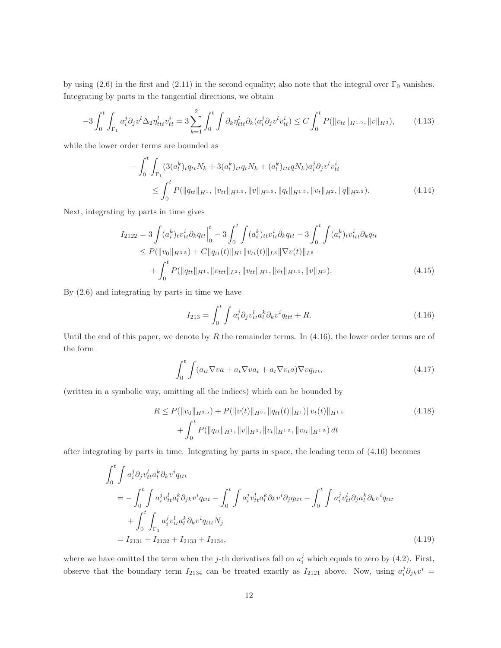by using (2.6) in the first and (2.11) in the second equality; also note that the integral over  $\Gamma_0$  vanishes. Integrating by parts in the tangential directions, we obtain

$$
-3\int_0^t \int_{\Gamma_1} a_i^j \partial_j v^l \Delta_2 \eta_{ttt}^l v_{tt}^i = 3 \sum_{k=1}^2 \int_0^t \int \partial_k \eta_{ttt}^l \partial_k (a_i^j \partial_j v^l v_{tt}^i) \le C \int_0^t P(\|v_{tt}\|_{H^{1.5}}, \|v\|_{H^3}), \tag{4.13}
$$

while the lower order terms are bounded as

$$
-\int_{0}^{t} \int_{\Gamma_{1}} (3(a_{l}^{k})_{t} q_{tt} N_{k} + 3(a_{l}^{k})_{tt} q_{t} N_{k} + (a_{l}^{k})_{ttt} q_{t} N_{k}) a_{i}^{j} \partial_{j} v^{l} v_{tt}^{i}
$$
  

$$
\leq \int_{0}^{t} P(||q_{tt}||_{H^{1}}, ||v_{tt}||_{H^{1.5}}, ||v||_{H^{3.5}}, ||q_{t}||_{H^{1.5}}, ||v_{t}||_{H^{2}}, ||q||_{H^{2.5}}).
$$
 (4.14)

Next, integrating by parts in time gives

$$
I_{2122} = 3 \int (a_i^k)_t v_{tt}^i \partial_k q_{tt} \Big|_0^t - 3 \int_0^t \int (a_i^k)_{tt} v_{tt}^i \partial_k q_{tt} - 3 \int_0^t \int (a_i^k)_t v_{ttt}^i \partial_k q_{tt} \n\leq P(\|v_0\|_{H^{3.5}}) + C \|q_{tt}(t)\|_{H^1} \|v_{tt}(t)\|_{L^3} \|\nabla v(t)\|_{L^6} \n+ \int_0^t P(\|q_{tt}\|_{H^1}, \|v_{ttt}\|_{L^2}, \|v_{tt}\|_{H^1}, \|v_t\|_{H^{1.5}}, \|v\|_{H^3}).
$$
\n(4.15)

By (2.6) and integrating by parts in time we have

$$
I_{213} = \int_0^t \int a_i^j \partial_j v_{tt}^l a_l^k \partial_k v^i q_{ttt} + R. \tag{4.16}
$$

Until the end of this paper, we denote by  $R$  the remainder terms. In  $(4.16)$ , the lower order terms are of the form

$$
\int_{0}^{t} \int (a_{tt} \nabla v a + a_t \nabla v a_t + a_t \nabla v_t a) \nabla v q_{ttt},\tag{4.17}
$$

(written in a symbolic way, omitting all the indices) which can be bounded by

$$
R \le P(||v_0||_{H^{3.5}}) + P(||v(t)||_{H^3}, ||q_{tt}(t)||_{H^1})||v_t(t)||_{H^{1.5}}+ \int_0^t P(||q_{tt}||_{H^1}, ||v||_{H^3}, ||v_t||_{H^{1.5}}, ||v_{tt}||_{H^{1.5}}) dt
$$
\n(4.18)

after integrating by parts in time. Integrating by parts in space, the leading term of (4.16) becomes

$$
\int_{0}^{t} \int a_{i}^{j} \partial_{j} v_{tt}^{l} a_{l}^{k} \partial_{k} v_{\,}^{i} q_{ttt} \n= - \int_{0}^{t} \int a_{i}^{j} v_{tt}^{l} a_{l}^{k} \partial_{jk} v_{\,}^{i} q_{ttt} - \int_{0}^{t} \int a_{i}^{j} v_{tt}^{l} a_{l}^{k} \partial_{k} v_{\,}^{i} \partial_{j} q_{ttt} - \int_{0}^{t} \int a_{i}^{j} v_{tt}^{l} \partial_{j} a_{l}^{k} \partial_{k} v_{\,}^{i} q_{ttt} \n+ \int_{0}^{t} \int_{\Gamma_{1}} a_{i}^{j} v_{tt}^{l} a_{l}^{k} \partial_{k} v_{\,}^{i} q_{ttt} N_{j} \n= I_{2131} + I_{2132} + I_{2133} + I_{2134},
$$
\n(4.19)

where we have omitted the term when the j-th derivatives fall on  $a_i^j$  which equals to zero by (4.2). First, observe that the boundary term  $I_{2134}$  can be treated exactly as  $I_{2121}$  above. Now, using  $a_i^j \partial_{jk} v^i =$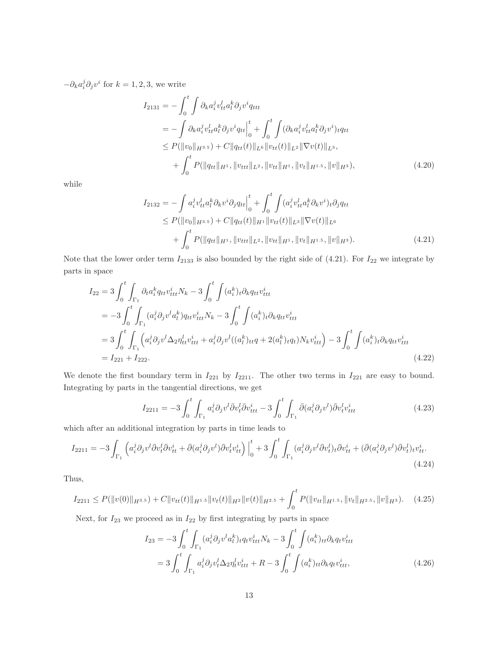$-\partial_k a_i^j \partial_j v^i$  for  $k = 1, 2, 3$ , we write

$$
I_{2131} = -\int_{0}^{t} \int \partial_{k} a_{i}^{j} v_{tt}^{l} a_{l}^{k} \partial_{j} v^{i} q_{ttt}
$$
  
\n
$$
= -\int \partial_{k} a_{i}^{j} v_{tt}^{l} a_{l}^{k} \partial_{j} v^{i} q_{tt} \Big|_{0}^{t} + \int_{0}^{t} \int (\partial_{k} a_{i}^{j} v_{tt}^{l} a_{l}^{k} \partial_{j} v^{i})_{t} q_{tt}
$$
  
\n
$$
\leq P(\|v_{0}\|_{H^{3.5}}) + C\|q_{tt}(t)\|_{L^{6}} \|v_{tt}(t)\|_{L^{2}} \|\nabla v(t)\|_{L^{3}},
$$
  
\n
$$
+ \int_{0}^{t} P(\|q_{tt}\|_{H^{1}}, \|v_{ttt}\|_{L^{2}}, \|v_{tt}\|_{H^{1}}, \|v_{t}\|_{H^{1.5}}, \|v\|_{H^{3}}), \tag{4.20}
$$

while

$$
I_{2132} = -\int a_i^j v_{tt}^l a_t^k \partial_k v^i \partial_j q_{tt} \Big|_0^t + \int_0^t \int (a_i^j v_{tt}^l a_t^k \partial_k v^i)_t \partial_j q_{tt} \leq P(\|v_0\|_{H^{3.5}}) + C \|q_{tt}(t)\|_{H^1} \|v_{tt}(t)\|_{L^3} \|\nabla v(t)\|_{L^6} + \int_0^t P(\|q_{tt}\|_{H^1}, \|v_{ttt}\|_{L^2}, \|v_{tt}\|_{H^1}, \|v_t\|_{H^{1.5}}, \|v\|_{H^3}).
$$
\n(4.21)

Note that the lower order term  $I_{2133}$  is also bounded by the right side of (4.21). For  $I_{22}$  we integrate by parts in space

$$
I_{22} = 3 \int_{0}^{t} \int_{\Gamma_{1}} \partial_{t} a_{i}^{k} q_{tt} v_{ttt}^{i} N_{k} - 3 \int_{0}^{t} \int (a_{i}^{k})_{t} \partial_{k} q_{tt} v_{ttt}^{i}
$$
  
\n
$$
= -3 \int_{0}^{t} \int_{\Gamma_{1}} (a_{i}^{j} \partial_{j} v^{l} a_{l}^{k}) q_{tt} v_{ttt}^{i} N_{k} - 3 \int_{0}^{t} \int (a_{i}^{k})_{t} \partial_{k} q_{tt} v_{ttt}^{i}
$$
  
\n
$$
= 3 \int_{0}^{t} \int_{\Gamma_{1}} \left( a_{i}^{j} \partial_{j} v^{l} \Delta_{2} \eta_{tt}^{l} v_{ttt}^{i} + a_{i}^{j} \partial_{j} v^{l} ((a_{l}^{k})_{tt} q + 2(a_{l}^{k})_{t} q_{t}) N_{k} v_{ttt}^{i} \right) - 3 \int_{0}^{t} \int (a_{i}^{k})_{t} \partial_{k} q_{tt} v_{ttt}^{i}
$$
  
\n
$$
= I_{221} + I_{222}. \tag{4.22}
$$

We denote the first boundary term in  $I_{221}$  by  $I_{2211}$ . The other two terms in  $I_{221}$  are easy to bound. Integrating by parts in the tangential directions, we get

$$
I_{2211} = -3 \int_0^t \int_{\Gamma_1} a_i^j \partial_j v^l \bar{\partial} v_t^l \bar{\partial} v_{ttt}^i - 3 \int_0^t \int_{\Gamma_1} \bar{\partial} (a_i^j \partial_j v^l) \bar{\partial} v_t^l v_{ttt}^i
$$
(4.23)

which after an additional integration by parts in time leads to

$$
I_{2211} = -3 \int_{\Gamma_1} \left( a_i^j \partial_j v^l \bar{\partial} v_t^l \bar{\partial} v_{tt}^i + \bar{\partial} (a_i^j \partial_j v^l) \bar{\partial} v_t^l v_{tt}^i \right) \Big|_0^t + 3 \int_0^t \int_{\Gamma_1} (a_i^j \partial_j v^l \bar{\partial} v_t^l)_t \bar{\partial} v_{tt}^i + (\bar{\partial} (a_i^j \partial_j v^l) \bar{\partial} v_t^l)_t v_{tt}^i. \tag{4.24}
$$

Thus,

$$
I_{2211} \leq P(\|v(0)\|_{H^{3.5}}) + C\|v_{tt}(t)\|_{H^{1.5}}\|v_t(t)\|_{H^2}\|v(t)\|_{H^{2.5}} + \int_0^t P(\|v_{tt}\|_{H^{1.5}}, \|v_t\|_{H^{2.5}}, \|v\|_{H^3}). \tag{4.25}
$$

Next, for  $I_{23}$  we proceed as in  $I_{22}$  by first integrating by parts in space

$$
I_{23} = -3 \int_0^t \int_{\Gamma_1} (a_i^j \partial_j v^l a_l^k)_{t} q_t v_{ttt}^i N_k - 3 \int_0^t \int (a_i^k)_{tt} \partial_k q_t v_{ttt}^i
$$
  
= 
$$
3 \int_0^t \int_{\Gamma_1} a_i^j \partial_j v_t^l \Delta_2 \eta_t^l v_{ttt}^i + R - 3 \int_0^t \int (a_i^k)_{tt} \partial_k q_t v_{ttt}^i,
$$
 (4.26)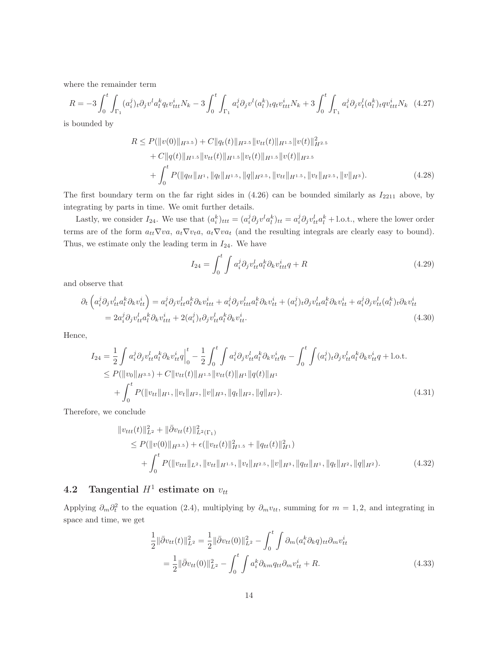where the remainder term

$$
R = -3 \int_0^t \int_{\Gamma_1} (a_i^j)_t \partial_j v^l a_l^k q_t v_{ttt}^i N_k - 3 \int_0^t \int_{\Gamma_1} a_i^j \partial_j v^l (a_l^k)_t q_t v_{ttt}^i N_k + 3 \int_0^t \int_{\Gamma_1} a_i^j \partial_j v_t^l (a_l^k)_t q v_{ttt}^i N_k \tag{4.27}
$$

is bounded by

$$
R \leq P(||v(0)||_{H^{3.5}}) + C||q_t(t)||_{H^{2.5}}||v_{tt}(t)||_{H^{1.5}}||v(t)||_{H^{2.5}}+ C||q(t)||_{H^{1.5}}||v_{tt}(t)||_{H^{1.5}}||v(t)||_{H^{2.5}}+ \int_0^t P(||q_{tt}||_{H^1}, ||q_t||_{H^{1.5}}, ||q||_{H^{2.5}}, ||v_{tt}||_{H^{1.5}}, ||v_t||_{H^{2.5}}, ||v||_{H^3}).
$$
\n(4.28)

The first boundary term on the far right sides in  $(4.26)$  can be bounded similarly as  $I_{2211}$  above, by integrating by parts in time. We omit further details.

Lastly, we consider  $I_{24}$ . We use that  $(a_i^k)_{ttt} = (a_i^j \partial_j v^l a_l^k)_{tt} = a_i^j \partial_j v^l_{tt} a_l^k + l.o.t.,$  where the lower order terms are of the form  $a_{tt}\nabla v a$ ,  $a_t\nabla v a_t$ ,  $a_t\nabla v a_t$  (and the resulting integrals are clearly easy to bound). Thus, we estimate only the leading term in  $I_{24}$ . We have

$$
I_{24} = \int_0^t \int a_i^j \partial_j v_{tt}^l a_l^k \partial_k v_{ttt}^i q + R \tag{4.29}
$$

and observe that

$$
\partial_t \left( a_i^j \partial_j v_{tt}^l a_l^k \partial_k v_{tt}^i \right) = a_i^j \partial_j v_{tt}^l a_l^k \partial_k v_{ttt}^i + a_i^j \partial_j v_{ttt}^l a_l^k \partial_k v_{tt}^i + (a_i^j)_t \partial_j v_{ttt}^l a_l^k \partial_k v_{tt}^i + a_i^j \partial_j v_{tt}^l (a_l^k)_t \partial_k v_{tt}^i
$$
\n
$$
= 2a_i^j \partial_j v_{tt}^l a_l^k \partial_k v_{ttt}^i + 2(a_i^j)_t \partial_j v_{tt}^l a_l^k \partial_k v_{tt}^i. \tag{4.30}
$$

Hence,

$$
I_{24} = \frac{1}{2} \int a_i^j \partial_j v_{tt}^l a_l^k \partial_k v_{tt}^i q \Big|_0^t - \frac{1}{2} \int_0^t \int a_i^j \partial_j v_{tt}^l a_l^k \partial_k v_{tt}^i q_t - \int_0^t \int (a_i^j)_t \partial_j v_{tt}^l a_l^k \partial_k v_{tt}^i q + \text{l.o.t.}
$$
  
\n
$$
\leq P(\|v_0\|_{H^{3.5}}) + C \|v_{tt}(t)\|_{H^{1.5}} \|v_{tt}(t)\|_{H^1} \|q(t)\|_{H^1}
$$
  
\n
$$
+ \int_0^t P(\|v_{tt}\|_{H^1}, \|v_t\|_{H^2}, \|v\|_{H^3}, \|q_t\|_{H^2}, \|q\|_{H^2}).
$$
\n(4.31)

Therefore, we conclude

$$
\|v_{ttt}(t)\|_{L^2}^2 + \|\bar{\partial}v_{tt}(t)\|_{L^2(\Gamma_1)}^2
$$
  
\n
$$
\leq P(\|v(0)\|_{H^{3.5}}) + \epsilon(\|v_{tt}(t)\|_{H^{1.5}}^2 + \|q_{tt}(t)\|_{H^1}^2)
$$
  
\n
$$
+ \int_0^t P(\|v_{ttt}\|_{L^2}, \|v_{tt}\|_{H^{1.5}}, \|v_t\|_{H^{2.5}}, \|v\|_{H^3}, \|q_{tt}\|_{H^1}, \|q_t\|_{H^2}, \|q\|_{H^2}).
$$
\n(4.32)

# 4.2 Tangential  $H^1$  estimate on  $v_{tt}$

Applying  $\partial_m \partial_t^2$  to the equation (2.4), multiplying by  $\partial_m v_{tt}$ , summing for  $m = 1, 2$ , and integrating in space and time, we get

$$
\frac{1}{2} \|\bar{\partial}v_{tt}(t)\|_{L^2}^2 = \frac{1}{2} \|\bar{\partial}v_{tt}(0)\|_{L^2}^2 - \int_0^t \int \partial_m(a_i^k \partial_k q)_{tt} \partial_m v_{tt}^i
$$
\n
$$
= \frac{1}{2} \|\bar{\partial}v_{tt}(0)\|_{L^2}^2 - \int_0^t \int a_i^k \partial_{km} q_{tt} \partial_m v_{tt}^i + R. \tag{4.33}
$$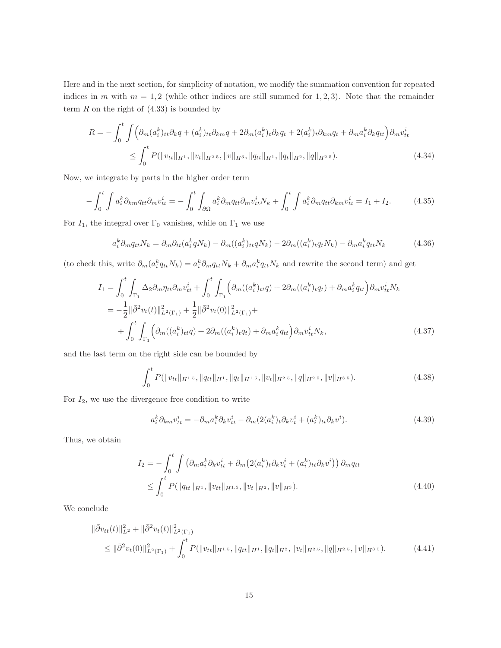Here and in the next section, for simplicity of notation, we modify the summation convention for repeated indices in m with  $m = 1, 2$  (while other indices are still summed for 1, 2, 3). Note that the remainder term  $R$  on the right of  $(4.33)$  is bounded by

$$
R = -\int_0^t \int \left( \partial_m (a_i^k)_{tt} \partial_k q + (a_i^k)_{tt} \partial_{km} q + 2 \partial_m (a_i^k)_t \partial_k q_t + 2(a_i^k)_t \partial_{km} q_t + \partial_m a_i^k \partial_k q_{tt} \right) \partial_m v_{tt}^i
$$
  

$$
\leq \int_0^t P(\|v_{tt}\|_{H^1}, \|v_t\|_{H^{2.5}}, \|v\|_{H^3}, \|q_{tt}\|_{H^1}, \|q_t\|_{H^2}, \|q\|_{H^{2.5}}). \tag{4.34}
$$

Now, we integrate by parts in the higher order term

$$
-\int_0^t \int a_i^k \partial_{km} q_{tt} \partial_m v_{tt}^i = -\int_0^t \int_{\partial \Omega} a_i^k \partial_m q_{tt} \partial_m v_{tt}^i N_k + \int_0^t \int a_i^k \partial_m q_{tt} \partial_{km} v_{tt}^i = I_1 + I_2. \tag{4.35}
$$

For  $I_1$ , the integral over  $\Gamma_0$  vanishes, while on  $\Gamma_1$  we use

$$
a_i^k \partial_m q_{tt} N_k = \partial_m \partial_{tt} (a_i^k q N_k) - \partial_m ((a_i^k)_{tt} q N_k) - 2\partial_m ((a_i^k)_{t} q_t N_k) - \partial_m a_i^k q_{tt} N_k \tag{4.36}
$$

(to check this, write  $\partial_m(a_i^k q_{tt}N_k) = a_i^k \partial_m q_{tt}N_k + \partial_m a_i^k q_{tt}N_k$  and rewrite the second term) and get

$$
I_{1} = \int_{0}^{t} \int_{\Gamma_{1}} \Delta_{2} \partial_{m} \eta_{tt} \partial_{m} v_{tt}^{i} + \int_{0}^{t} \int_{\Gamma_{1}} \left( \partial_{m} ((a_{i}^{k})_{tt} q) + 2 \partial_{m} ((a_{i}^{k})_{t} q_{t}) + \partial_{m} a_{i}^{k} q_{tt} \right) \partial_{m} v_{tt}^{i} N_{k}
$$
  
\n
$$
= -\frac{1}{2} ||\bar{\partial}^{2} v_{t}(t)||_{L^{2}(\Gamma_{1})}^{2} + \frac{1}{2} ||\bar{\partial}^{2} v_{t}(0)||_{L^{2}(\Gamma_{1})}^{2} + \int_{0}^{t} \int_{\Gamma_{1}} \left( \partial_{m} ((a_{i}^{k})_{tt} q) + 2 \partial_{m} ((a_{i}^{k})_{t} q_{t}) + \partial_{m} a_{i}^{k} q_{tt} \right) \partial_{m} v_{tt}^{i} N_{k}, \qquad (4.37)
$$

and the last term on the right side can be bounded by

$$
\int_0^t P(||v_{tt}||_{H^{1.5}}, ||q_{tt}||_{H^1}, ||q_t||_{H^{1.5}}, ||v_t||_{H^{2.5}}, ||q||_{H^{2.5}}, ||v||_{H^{3.5}}). \tag{4.38}
$$

For  $I_2$ , we use the divergence free condition to write

$$
a_i^k \partial_{km} v_{tt}^i = -\partial_m a_i^k \partial_k v_{tt}^i - \partial_m (2(a_i^k)_t \partial_k v_t^i + (a_i^k)_{tt} \partial_k v^i). \tag{4.39}
$$

Thus, we obtain

$$
I_2 = -\int_0^t \int \left( \partial_m a_i^k \partial_k v_{tt}^i + \partial_m \left( 2(a_i^k)_t \partial_k v_t^i + (a_i^k)_{tt} \partial_k v^i \right) \right) \partial_m q_{tt}
$$
  

$$
\leq \int_0^t P(\|q_{tt}\|_{H^1}, \|v_{tt}\|_{H^{1.5}}, \|v_t\|_{H^2}, \|v\|_{H^3}). \tag{4.40}
$$

We conclude

$$
\|\bar{\partial}v_{tt}(t)\|_{L^2}^2 + \|\bar{\partial}^2 v_t(t)\|_{L^2(\Gamma_1)}^2
$$
\n
$$
\leq \|\bar{\partial}^2 v_t(0)\|_{L^2(\Gamma_1)}^2 + \int_0^t P(\|v_{tt}\|_{H^{1.5}}, \|q_{tt}\|_{H^1}, \|q_t\|_{H^2}, \|v_t\|_{H^{2.5}}, \|q\|_{H^{2.5}}, \|v\|_{H^{3.5}}). \tag{4.41}
$$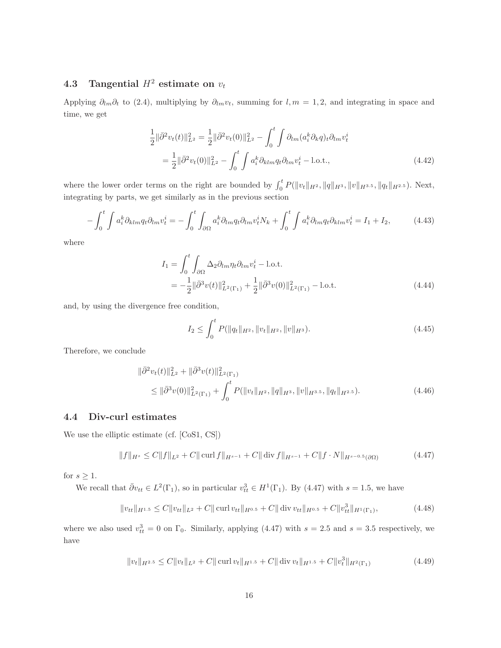## 4.3 Tangential  $H^2$  estimate on  $v_t$

Applying  $\partial_{lm}\partial_t$  to (2.4), multiplying by  $\partial_{lm}v_t$ , summing for  $l, m = 1, 2$ , and integrating in space and time, we get

$$
\frac{1}{2} \|\bar{\partial}^2 v_t(t)\|_{L^2}^2 = \frac{1}{2} \|\bar{\partial}^2 v_t(0)\|_{L^2}^2 - \int_0^t \int \partial_{lm} (a_i^k \partial_k q)_t \partial_{lm} v_t^i
$$
\n
$$
= \frac{1}{2} \|\bar{\partial}^2 v_t(0)\|_{L^2}^2 - \int_0^t \int a_i^k \partial_{klm} q_t \partial_{lm} v_t^i - \text{l.o.t.,}
$$
\n(4.42)

where the lower order terms on the right are bounded by  $\int_0^t P(||v_t||_{H^2}, ||q||_{H^3}, ||v||_{H^{3.5}}, ||q_t||_{H^{2.5}})$ . Next, integrating by parts, we get similarly as in the previous section

$$
-\int_0^t \int a_i^k \partial_{klm} q_t \partial_{lm} v_t^i = -\int_0^t \int_{\partial \Omega} a_i^k \partial_{lm} q_t \partial_{lm} v_t^i N_k + \int_0^t \int a_i^k \partial_{lm} q_t \partial_{klm} v_t^i = I_1 + I_2,\tag{4.43}
$$

where

$$
I_1 = \int_0^t \int_{\partial \Omega} \Delta_2 \partial_{lm} \eta_t \partial_{lm} v_t^i - \text{l.o.t.}
$$
  
=  $-\frac{1}{2} ||\bar{\partial}^3 v(t)||^2_{L^2(\Gamma_1)} + \frac{1}{2} ||\bar{\partial}^3 v(0)||^2_{L^2(\Gamma_1)} - \text{l.o.t.}$  (4.44)

and, by using the divergence free condition,

$$
I_2 \le \int_0^t P(\|q_t\|_{H^2}, \|v_t\|_{H^2}, \|v\|_{H^3}). \tag{4.45}
$$

Therefore, we conclude

$$
\|\bar{\partial}^{2} v_{t}(t)\|_{L^{2}}^{2} + \|\bar{\partial}^{3} v(t)\|_{L^{2}(\Gamma_{1})}^{2}
$$
  
\n
$$
\leq \|\bar{\partial}^{3} v(0)\|_{L^{2}(\Gamma_{1})}^{2} + \int_{0}^{t} P(\|v_{t}\|_{H^{2}}, \|q\|_{H^{3}}, \|v\|_{H^{3.5}}, \|q_{t}\|_{H^{2.5}}). \tag{4.46}
$$

#### 4.4 Div-curl estimates

We use the elliptic estimate (cf. [CoS1, CS])

$$
||f||_{H^s} \le C||f||_{L^2} + C||\operatorname{curl} f||_{H^{s-1}} + C||\operatorname{div} f||_{H^{s-1}} + C||f \cdot N||_{H^{s-0.5}(\partial \Omega)}
$$
(4.47)

for  $s \geq 1$ .

We recall that  $\bar{\partial}v_{tt} \in L^2(\Gamma_1)$ , so in particular  $v_{tt}^3 \in H^1(\Gamma_1)$ . By (4.47) with  $s = 1.5$ , we have

$$
||v_{tt}||_{H^{1.5}} \leq C||v_{tt}||_{L^2} + C|| \operatorname{curl} v_{tt}||_{H^{0.5}} + C|| \operatorname{div} v_{tt}||_{H^{0.5}} + C||v_{tt}^3||_{H^1(\Gamma_1)},
$$
\n(4.48)

where we also used  $v_{tt}^3 = 0$  on  $\Gamma_0$ . Similarly, applying (4.47) with  $s = 2.5$  and  $s = 3.5$  respectively, we have

$$
||v_t||_{H^{2.5}} \le C||v_t||_{L^2} + C|| \operatorname{curl} v_t||_{H^{1.5}} + C|| \operatorname{div} v_t||_{H^{1.5}} + C||v_t^3||_{H^2(\Gamma_1)}
$$
(4.49)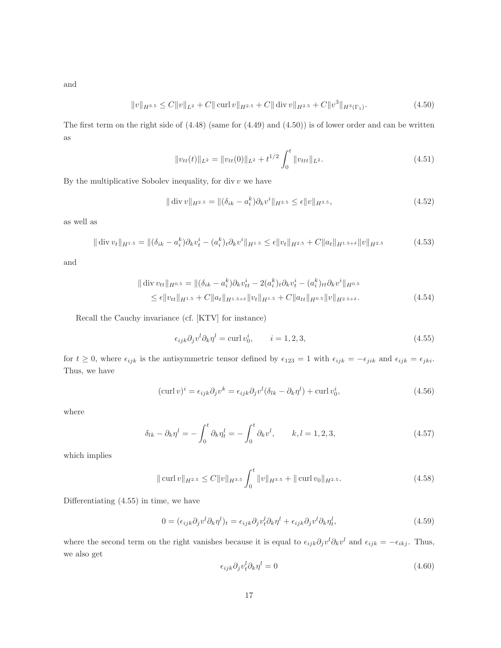and

$$
||v||_{H^{3.5}} \leq C||v||_{L^2} + C||\operatorname{curl} v||_{H^{2.5}} + C||\operatorname{div} v||_{H^{2.5}} + C||v^3||_{H^3(\Gamma_1)}.
$$
\n(4.50)

The first term on the right side of  $(4.48)$  (same for  $(4.49)$  and  $(4.50)$ ) is of lower order and can be written as

$$
||v_{tt}(t)||_{L^2} = ||v_{tt}(0)||_{L^2} + t^{1/2} \int_0^t ||v_{ttt}||_{L^2}.
$$
\n(4.51)

By the multiplicative Sobolev inequality, for div  $v$  we have

$$
\|\operatorname{div} v\|_{H^{2.5}} = \|(\delta_{ik} - a_i^k)\partial_k v^i\|_{H^{2.5}} \le \epsilon \|v\|_{H^{3.5}},\tag{4.52}
$$

as well as

$$
\|\operatorname{div} v_t\|_{H^{1.5}} = \|(\delta_{ik} - a_i^k)\partial_k v_t^i - (a_i^k)_t \partial_k v^i\|_{H^{1.5}} \le \epsilon \|v_t\|_{H^{2.5}} + C \|a_t\|_{H^{1.5+\delta}} \|v\|_{H^{2.5}}
$$
(4.53)

and

$$
\|\operatorname{div} v_{tt}\|_{H^{0.5}} = \|(\delta_{ik} - a_i^k)\partial_k v_{tt}^i - 2(a_i^k)_t \partial_k v_t^i - (a_i^k)_{tt} \partial_k v^i \|_{H^{0.5}}\leq \epsilon \|v_{tt}\|_{H^{1.5}} + C \|a_t\|_{H^{1.5+\delta}} \|v_t\|_{H^{1.5}} + C \|a_{tt}\|_{H^{0.5}} \|v\|_{H^{2.5+\delta}}.
$$
\n(4.54)

Recall the Cauchy invariance (cf. [KTV] for instance)

$$
\epsilon_{ijk}\partial_j v^l \partial_k \eta^l = \text{curl } v_0^i, \qquad i = 1, 2, 3,
$$
\n
$$
(4.55)
$$

for  $t \geq 0$ , where  $\epsilon_{ijk}$  is the antisymmetric tensor defined by  $\epsilon_{123} = 1$  with  $\epsilon_{ijk} = -\epsilon_{jik}$  and  $\epsilon_{ijk} = \epsilon_{jki}$ . Thus, we have

$$
(\operatorname{curl} v)^i = \epsilon_{ijk}\partial_j v^k = \epsilon_{ijk}\partial_j v^l (\delta_{lk} - \partial_k \eta^l) + \operatorname{curl} v_0^i,
$$
\n(4.56)

where

$$
\delta_{lk} - \partial_k \eta^l = -\int_0^t \partial_k \eta^l_t = -\int_0^t \partial_k v^l, \qquad k, l = 1, 2, 3,
$$
\n(4.57)

which implies

$$
\|\operatorname{curl} v\|_{H^{2.5}} \le C \|v\|_{H^{3.5}} \int_0^t \|v\|_{H^{3.5}} + \|\operatorname{curl} v_0\|_{H^{2.5}}.
$$
\n(4.58)

Differentiating (4.55) in time, we have

$$
0 = (\epsilon_{ijk}\partial_j v^l \partial_k \eta^l)_t = \epsilon_{ijk}\partial_j v^l_t \partial_k \eta^l + \epsilon_{ijk}\partial_j v^l \partial_k \eta^l_t, \tag{4.59}
$$

where the second term on the right vanishes because it is equal to  $\epsilon_{ijk}\partial_j v^l\partial_k v^l$  and  $\epsilon_{ijk} = -\epsilon_{ikj}$ . Thus, we also get

$$
\epsilon_{ijk}\partial_j v_i^l \partial_k \eta^l = 0 \tag{4.60}
$$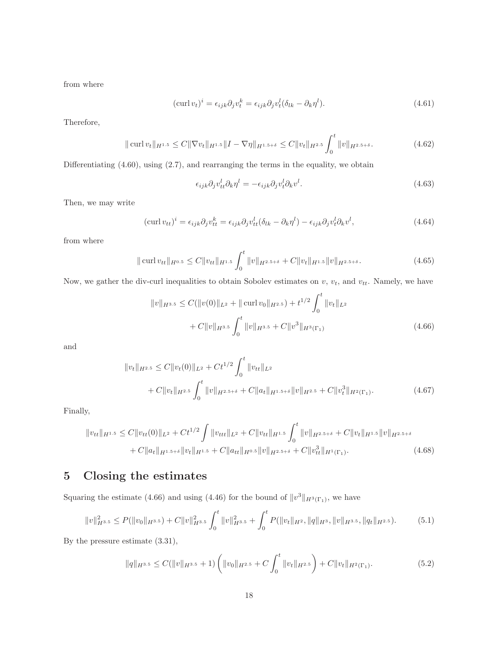from where

$$
(\operatorname{curl} v_t)^i = \epsilon_{ijk} \partial_j v_t^k = \epsilon_{ijk} \partial_j v_t^l (\delta_{lk} - \partial_k \eta^l). \tag{4.61}
$$

Therefore,

$$
\|\operatorname{curl} v_t\|_{H^{1.5}} \le C \|\nabla v_t\|_{H^{1.5}} \|I - \nabla \eta\|_{H^{1.5+\delta}} \le C \|v_t\|_{H^{2.5}} \int_0^t \|v\|_{H^{2.5+\delta}}.\tag{4.62}
$$

Differentiating (4.60), using (2.7), and rearranging the terms in the equality, we obtain

$$
\epsilon_{ijk}\partial_j v^l_{tt}\partial_k \eta^l = -\epsilon_{ijk}\partial_j v^l_t \partial_k v^l. \tag{4.63}
$$

Then, we may write

$$
(\operatorname{curl} v_{tt})^i = \epsilon_{ijk} \partial_j v_{tt}^k = \epsilon_{ijk} \partial_j v_{tt}^l (\delta_{lk} - \partial_k \eta^l) - \epsilon_{ijk} \partial_j v_t^l \partial_k v^l, \qquad (4.64)
$$

from where

$$
\|\operatorname{curl} v_{tt}\|_{H^{0.5}} \le C \|v_{tt}\|_{H^{1.5}} \int_0^t \|v\|_{H^{2.5+\delta}} + C \|v_t\|_{H^{1.5}} \|v\|_{H^{2.5+\delta}}.
$$
\n(4.65)

Now, we gather the div-curl inequalities to obtain Sobolev estimates on  $v, v_t$ , and  $v_{tt}$ . Namely, we have

$$
||v||_{H^{3.5}} \leq C(||v(0)||_{L^2} + ||\operatorname{curl} v_0||_{H^{2.5}}) + t^{1/2} \int_0^t ||v_t||_{L^2} + C||v||_{H^{3.5}} \int_0^t ||v||_{H^{3.5}} + C||v^3||_{H^3(\Gamma_1)}
$$
(4.66)

and

$$
||v_t||_{H^{2.5}} \leq C||v_t(0)||_{L^2} + Ct^{1/2} \int_0^t ||v_{tt}||_{L^2}
$$
  
+  $C||v_t||_{H^{2.5}} \int_0^t ||v||_{H^{2.5+\delta}} + C||a_t||_{H^{1.5+\delta}} ||v||_{H^{2.5}} + C||v_t^3||_{H^2(\Gamma_1)}.$  (4.67)

Finally,

$$
||v_{tt}||_{H^{1.5}} \leq C||v_{tt}(0)||_{L^{2}} + Ct^{1/2} \int ||v_{ttt}||_{L^{2}} + C||v_{tt}||_{H^{1.5}} \int_{0}^{t} ||v||_{H^{2.5+\delta}} + C||v_{t}||_{H^{1.5}} ||v||_{H^{2.5+\delta}} + C||a_{t}||_{H^{1.5+\delta}} ||v_{t}||_{H^{1.5}} + C||a_{tt}||_{H^{0.5}} ||v||_{H^{2.5+\delta}} + C||v_{tt}^{3}||_{H^{1}(\Gamma_{1})}.
$$
\n(4.68)

## 5 Closing the estimates

Squaring the estimate (4.66) and using (4.46) for the bound of  $||v^3||_{H^3(\Gamma_1)}$ , we have

$$
||v||_{H^{3.5}}^2 \le P(||v_0||_{H^{3.5}}) + C||v||_{H^{3.5}}^2 \int_0^t ||v||_{H^{3.5}}^2 + \int_0^t P(||v_t||_{H^2}, ||q||_{H^3}, ||v||_{H^{3.5}}, ||q_t||_{H^{2.5}}). \tag{5.1}
$$

By the pressure estimate (3.31),

$$
\|q\|_{H^{3.5}} \le C(\|v\|_{H^{3.5}} + 1) \left( \|v_0\|_{H^{2.5}} + C \int_0^t \|v_t\|_{H^{2.5}} \right) + C\|v_t\|_{H^2(\Gamma_1)}.
$$
\n(5.2)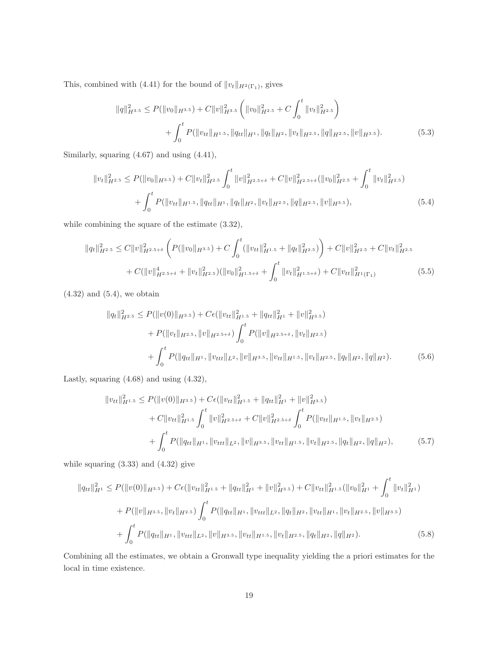This, combined with (4.41) for the bound of  $||v_t||_{H^2(\Gamma_1)}$ , gives

$$
||q||_{H^{3.5}}^2 \le P(||v_0||_{H^{3.5}}) + C||v||_{H^{3.5}}^2 \left(||v_0||_{H^{2.5}}^2 + C \int_0^t ||v_t||_{H^{2.5}}^2\right) + \int_0^t P(||v_{tt}||_{H^{1.5}}, ||q_{tt}||_{H^1}, ||q_t||_{H^2}, ||v_t||_{H^{2.5}}, ||q||_{H^{2.5}}, ||v||_{H^{3.5}}).
$$
\n(5.3)

Similarly, squaring (4.67) and using (4.41),

$$
||v_t||_{H^{2.5}}^2 \le P(||v_0||_{H^{3.5}}) + C||v_t||_{H^{2.5}}^2 \int_0^t ||v||_{H^{2.5+\delta}}^2 + C||v||_{H^{2.5+\delta}}^2(||v_0||_{H^{2.5}}^2 + \int_0^t ||v_t||_{H^{2.5}}^2) + \int_0^t P(||v_{tt}||_{H^{1.5}}, ||q_{tt}||_{H^1}, ||q_t||_{H^2}, ||v_t||_{H^{2.5}}, ||q||_{H^{2.5}}, ||v||_{H^{3.5}}),
$$
\n(5.4)

while combining the square of the estimate (3.32),

$$
||q_t||_{H^{2.5}}^2 \leq C||v||_{H^{2.5+\delta}}^2 \left( P(||v_0||_{H^{3.5}}) + C \int_0^t (||v_{tt}||_{H^{1.5}}^2 + ||q_t||_{H^{2.5}}^2) \right) + C||v||_{H^{2.5}}^2 + C||v_t||_{H^{2.5}}^2 + C(||v||_{H^{2.5+\delta}}^4 + ||v_t||_{H^{2.5}}^2)(||v_0||_{H^{1.5+\delta}}^2 + \int_0^t ||v_t||_{H^{1.5+\delta}}^2) + C||v_{tt}||_{H^{1}(\Gamma_1)}^2
$$
\n
$$
(5.5)
$$

 $(4.32)$  and  $(5.4)$ , we obtain

$$
||q_t||_{H^{2.5}}^2 \le P(||v(0)||_{H^{3.5}}) + C\epsilon(||v_{tt}||_{H^{1.5}}^2 + ||q_{tt}||_{H^1}^2 + ||v||_{H^{3.5}}^2) + P(||v_t||_{H^{2.5}}, ||v||_{H^{2.5+\delta}}) \int_0^t P(||v||_{H^{2.5+\delta}}, ||v_t||_{H^{2.5}}) + \int_0^t P(||q_{tt}||_{H^1}, ||v_{ttt}||_{L^2}, ||v||_{H^{3.5}}, ||v_{tt}||_{H^{1.5}}, ||v_t||_{H^{2.5}}, ||q_t||_{H^2}, ||q||_{H^2}).
$$
 (5.6)

Lastly, squaring (4.68) and using (4.32),

$$
||v_{tt}||_{H^{1.5}}^2 \le P(||v(0)||_{H^{3.5}}) + C\epsilon(||v_{tt}||_{H^{1.5}}^2 + ||q_{tt}||_{H^1}^2 + ||v||_{H^{3.5}}^2) + C||v_{tt}||_{H^{1.5}}^2 \int_0^t ||v||_{H^{2.5+\delta}}^2 + C||v||_{H^{2.5+\delta}}^2 \int_0^t P(||v_{tt}||_{H^{1.5}}, ||v_t||_{H^{2.5}}) + \int_0^t P(||q_{tt}||_{H^1}, ||v_{ttt}||_{L^2}, ||v||_{H^{3.5}}, ||v_{tt}||_{H^{1.5}}, ||v_t||_{H^{2.5}}, ||q_t||_{H^2}, ||q||_{H^2}),
$$
(5.7)

while squaring  $(3.33)$  and  $(4.32)$  give

$$
||q_{tt}||_{H^1}^2 \leq P(||v(0)||_{H^{3.5}}) + C\epsilon(||v_{tt}||_{H^{1.5}}^2 + ||q_{tt}||_{H^1}^2 + ||v||_{H^{3.5}}^2) + C||v_{tt}||_{H^{1.5}}^2(||v_0||_{H^1}^2 + \int_0^t ||v_t||_{H^1}^2) + P(||v||_{H^{3.5}}, ||v_t||_{H^{2.5}}) \int_0^t P(||q_{tt}||_{H^1}, ||v_{tt}||_{L^2}, ||q_t||_{H^2}, ||v_{tt}||_{H^1}, ||v_t||_{H^{2.5}}, ||v||_{H^{3.5}}) + \int_0^t P(||q_{tt}||_{H^1}, ||v_{tt}||_{L^2}, ||v||_{H^{3.5}}, ||v_{tt}||_{H^{1.5}}, ||v_t||_{H^{2.5}}, ||q_t||_{H^2}, ||q||_{H^2}).
$$
 (5.8)

Combining all the estimates, we obtain a Gronwall type inequality yielding the a priori estimates for the local in time existence.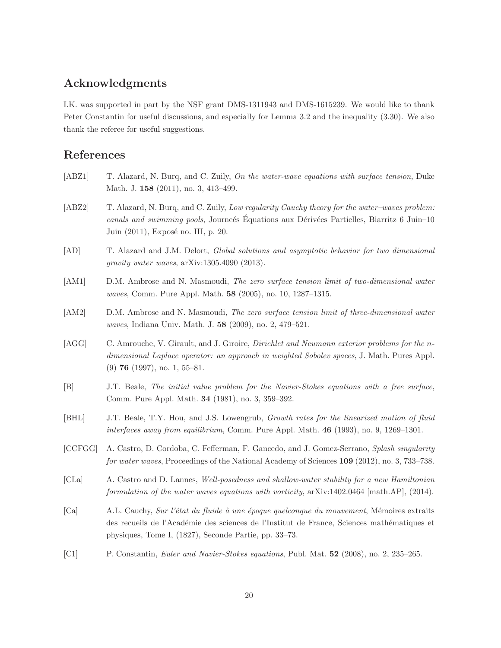#### Acknowledgments

I.K. was supported in part by the NSF grant DMS-1311943 and DMS-1615239. We would like to thank Peter Constantin for useful discussions, and especially for Lemma 3.2 and the inequality (3.30). We also thank the referee for useful suggestions.

## References

- [ABZ1] T. Alazard, N. Burq, and C. Zuily, On the water-wave equations with surface tension, Duke Math. J. 158 (2011), no. 3, 413–499.
- [ABZ2] T. Alazard, N. Burq, and C. Zuily, Low regularity Cauchy theory for the water-waves problem: canals and swimming pools, Journe's Equations aux Dérivées Partielles, Biarritz 6 Juin–10 Juin (2011), Exposé no. III, p. 20.
- [AD] T. Alazard and J.M. Delort, Global solutions and asymptotic behavior for two dimensional gravity water waves, arXiv:1305.4090 (2013).
- [AM1] D.M. Ambrose and N. Masmoudi, The zero surface tension limit of two-dimensional water waves, Comm. Pure Appl. Math. 58 (2005), no. 10, 1287–1315.
- [AM2] D.M. Ambrose and N. Masmoudi, The zero surface tension limit of three-dimensional water waves, Indiana Univ. Math. J. 58 (2009), no. 2, 479–521.
- [AGG] C. Amrouche, V. Girault, and J. Giroire, *Dirichlet and Neumann exterior problems for the n*dimensional Laplace operator: an approach in weighted Sobolev spaces, J. Math. Pures Appl. (9) 76 (1997), no. 1, 55–81.
- [B] J.T. Beale, The initial value problem for the Navier-Stokes equations with a free surface, Comm. Pure Appl. Math. 34 (1981), no. 3, 359–392.
- [BHL] J.T. Beale, T.Y. Hou, and J.S. Lowengrub, Growth rates for the linearized motion of fluid interfaces away from equilibrium, Comm. Pure Appl. Math. 46 (1993), no. 9, 1269–1301.
- [CCFGG] A. Castro, D. Cordoba, C. Fefferman, F. Gancedo, and J. Gomez-Serrano, Splash singularity for water waves, Proceedings of the National Academy of Sciences 109 (2012), no. 3, 733–738.
- [CLa] A. Castro and D. Lannes, Well-posedness and shallow-water stability for a new Hamiltonian formulation of the water waves equations with vorticity, arXiv:1402.0464 [math.AP], (2014).
- [Ca] A.L. Cauchy, Sur l'état du fluide à une époque quelconque du mouvement, Mémoires extraits des recueils de l'Académie des sciences de l'Institut de France, Sciences mathématiques et physiques, Tome I, (1827), Seconde Partie, pp. 33–73.
- [C1] P. Constantin, Euler and Navier-Stokes equations, Publ. Mat. 52 (2008), no. 2, 235–265.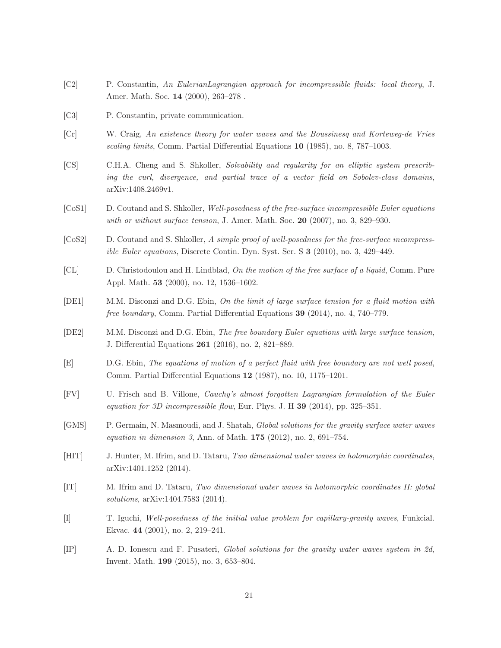- [C2] P. Constantin, An EulerianLagrangian approach for incompressible fluids: local theory, J. Amer. Math. Soc. 14 (2000), 263–278 .
- [C3] P. Constantin, private communication.
- [Cr] W. Craig, An existence theory for water waves and the Boussinesq and Korteweg-de Vries scaling limits, Comm. Partial Differential Equations 10 (1985), no. 8, 787–1003.
- [CS] C.H.A. Cheng and S. Shkoller, Solvability and regularity for an elliptic system prescribing the curl, divergence, and partial trace of a vector field on Sobolev-class domains, arXiv:1408.2469v1.
- [CoS1] D. Coutand and S. Shkoller, Well-posedness of the free-surface incompressible Euler equations with or without surface tension, J. Amer. Math. Soc. 20 (2007), no. 3, 829-930.
- [CoS2] D. Coutand and S. Shkoller, A simple proof of well-posedness for the free-surface incompressible Euler equations, Discrete Contin. Dyn. Syst. Ser. S 3 (2010), no. 3, 429–449.
- [CL] D. Christodoulou and H. Lindblad, On the motion of the free surface of a liquid, Comm. Pure Appl. Math. 53 (2000), no. 12, 1536–1602.
- [DE1] M.M. Disconzi and D.G. Ebin, On the limit of large surface tension for a fluid motion with free boundary, Comm. Partial Differential Equations 39 (2014), no. 4, 740–779.
- [DE2] M.M. Disconzi and D.G. Ebin, The free boundary Euler equations with large surface tension, J. Differential Equations 261 (2016), no. 2, 821–889.
- [E] D.G. Ebin, The equations of motion of a perfect fluid with free boundary are not well posed, Comm. Partial Differential Equations 12 (1987), no. 10, 1175–1201.
- [FV] U. Frisch and B. Villone, Cauchy's almost forgotten Lagrangian formulation of the Euler equation for 3D incompressible flow, Eur. Phys. J. H  $39$  (2014), pp. 325–351.
- [GMS] P. Germain, N. Masmoudi, and J. Shatah, Global solutions for the gravity surface water waves equation in dimension 3, Ann. of Math.  $175$  (2012), no. 2, 691–754.
- [HIT] J. Hunter, M. Ifrim, and D. Tataru, Two dimensional water waves in holomorphic coordinates, arXiv:1401.1252 (2014).
- [IT] M. Ifrim and D. Tataru, Two dimensional water waves in holomorphic coordinates II: global solutions, arXiv:1404.7583 (2014).
- [I] T. Iguchi, Well-posedness of the initial value problem for capillary-gravity waves, Funkcial. Ekvac. 44 (2001), no. 2, 219–241.
- [IP] A. D. Ionescu and F. Pusateri, Global solutions for the gravity water waves system in 2d, Invent. Math. 199 (2015), no. 3, 653–804.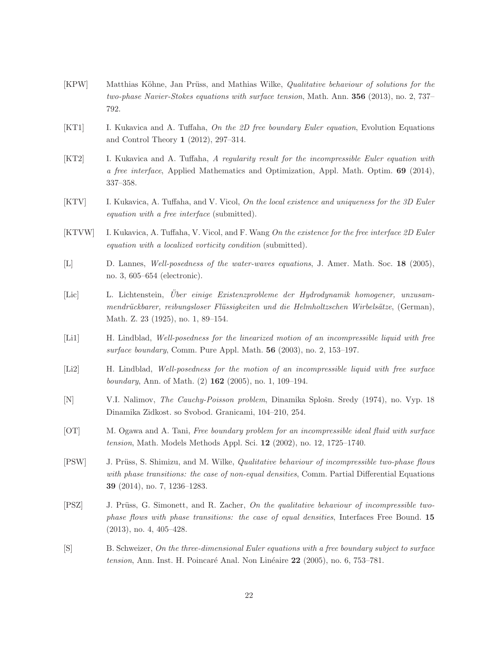- [KPW] Matthias Köhne, Jan Prüss, and Mathias Wilke, *Qualitative behaviour of solutions for the* two-phase Navier-Stokes equations with surface tension, Math. Ann. 356 (2013), no. 2, 737– 792.
- [KT1] I. Kukavica and A. Tuffaha, On the 2D free boundary Euler equation, Evolution Equations and Control Theory 1 (2012), 297–314.
- [KT2] I. Kukavica and A. Tuffaha, A regularity result for the incompressible Euler equation with a free interface, Applied Mathematics and Optimization, Appl. Math. Optim. 69 (2014), 337–358.
- [KTV] I. Kukavica, A. Tuffaha, and V. Vicol, On the local existence and uniqueness for the 3D Euler equation with a free interface (submitted).
- [KTVW] I. Kukavica, A. Tuffaha, V. Vicol, and F. Wang On the existence for the free interface 2D Euler equation with a localized vorticity condition (submitted).
- [L] D. Lannes, Well-posedness of the water-waves equations, J. Amer. Math. Soc. 18 (2005), no. 3, 605–654 (electronic).
- [Lic] L. Lichtenstein, Über einige Existenzprobleme der Hydrodynamik homogener, unzusammendrückbarer, reibungsloser Flüssigkeiten und die Helmholtzschen Wirbelsätze, (German), Math. Z. 23 (1925), no. 1, 89–154.
- [Li1] H. Lindblad, Well-posedness for the linearized motion of an incompressible liquid with free surface boundary, Comm. Pure Appl. Math. 56 (2003), no. 2, 153–197.
- [Li2] H. Lindblad, Well-posedness for the motion of an incompressible liquid with free surface boundary, Ann. of Math.  $(2)$  162  $(2005)$ , no. 1, 109–194.
- [N] V.I. Nalimov, *The Cauchy-Poisson problem*, Dinamika Splošn. Sredy (1974), no. Vyp. 18 Dinamika Zidkost. so Svobod. Granicami, 104–210, 254.
- [OT] M. Ogawa and A. Tani, Free boundary problem for an incompressible ideal fluid with surface tension, Math. Models Methods Appl. Sci. 12 (2002), no. 12, 1725–1740.
- [PSW] J. Prüss, S. Shimizu, and M. Wilke, *Qualitative behaviour of incompressible two-phase flows* with phase transitions: the case of non-equal densities, Comm. Partial Differential Equations 39 (2014), no. 7, 1236–1283.
- [PSZ] J. Prüss, G. Simonett, and R. Zacher, On the qualitative behaviour of incompressible twophase flows with phase transitions: the case of equal densities, Interfaces Free Bound. 15 (2013), no. 4, 405–428.
- [S] B. Schweizer, On the three-dimensional Euler equations with a free boundary subject to surface tension, Ann. Inst. H. Poincaré Anal. Non Linéaire  $22$  (2005), no. 6, 753–781.